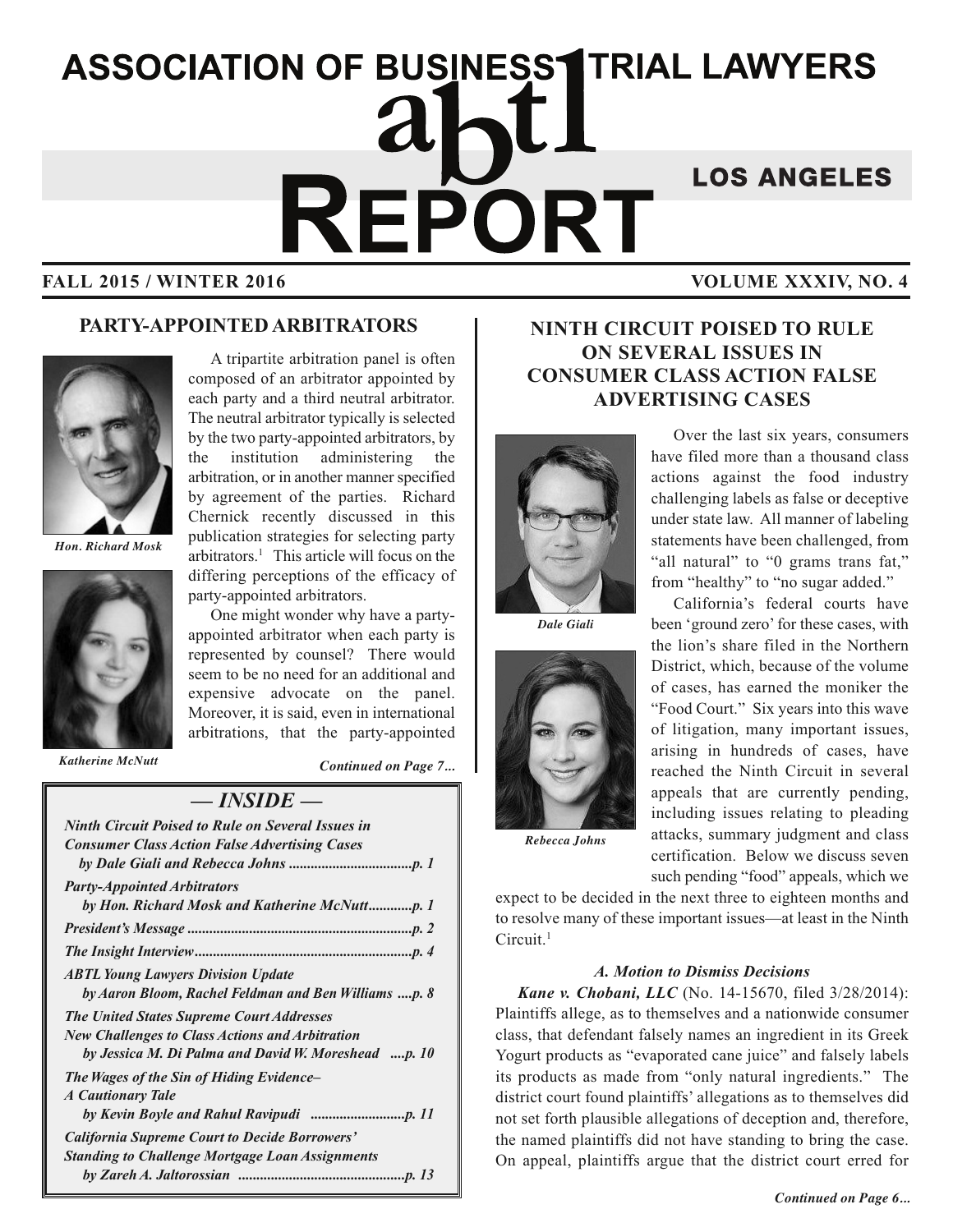# **ASSOCIATION OF BUSINESS1TRIAL LAWYERS** REPORT **LOS ANGELES FALL 2015 / WINTER 2016 VOLUME XXXIV, NO. 4**

#### **PARTY-APPOINTED ARBITRATORS**



*Hon. Richard Mosk*



A tripartite arbitration panel is often composed of an arbitrator appointed by each party and a third neutral arbitrator. The neutral arbitrator typically is selected by the two party-appointed arbitrators, by the institution administering the arbitration, or in another manner specified by agreement of the parties. Richard Chernick recently discussed in this publication strategies for selecting party arbitrators. <sup>1</sup> This article will focus on the differing perceptions of the efficacy of party-appointed arbitrators.

One might wonder why have a partyappointed arbitrator when each party is represented by counsel? There would seem to be no need for an additional and expensive advocate on the panel. Moreover, it is said, even in international arbitrations, that the party-appointed

*Katherine McNutt*

*Continued on Page 7...*

#### *— INSIDE —*

| <b>Ninth Circuit Poised to Rule on Several Issues in</b><br><b>Consumer Class Action False Advertising Cases</b> |
|------------------------------------------------------------------------------------------------------------------|
|                                                                                                                  |
| <b>Party-Appointed Arbitrators</b>                                                                               |
|                                                                                                                  |
|                                                                                                                  |
|                                                                                                                  |
| <b>ABTL Young Lawyers Division Update</b>                                                                        |
| by Aaron Bloom, Rachel Feldman and Ben Williams p. 8                                                             |
| <b>The United States Supreme Court Addresses</b>                                                                 |
| <b>New Challenges to Class Actions and Arbitration</b>                                                           |
| by Jessica M. Di Palma and David W. Moreshead p. 10                                                              |
| The Wages of the Sin of Hiding Evidence–                                                                         |
| <b>A Cautionary Tale</b>                                                                                         |
|                                                                                                                  |
| <b>California Supreme Court to Decide Borrowers'</b>                                                             |
| <b>Standing to Challenge Mortgage Loan Assignments</b>                                                           |
|                                                                                                                  |

### **NINTH CIRCUIT POISED TO RULE ON SEVERAL ISSUES IN CONSUMER CLASS ACTION FALSE ADVERTISING CASES**



*Dale Giali*



Over the last six years, consumers have filed more than a thousand class actions against the food industry challenging labels as false or deceptive under state law. All manner of labeling statements have been challenged, from "all natural" to "0 grams trans fat," from "healthy" to "no sugar added."

California's federal courts have been 'ground zero' for these cases, with the lion's share filed in the Northern District, which, because of the volume of cases, has earned the moniker the "Food Court." Six years into this wave of litigation, many important issues, arising in hundreds of cases, have reached the Ninth Circuit in several appeals that are currently pending, including issues relating to pleading attacks, summary judgment and class certification. Below we discuss seven

*Rebecca Johns*

such pending "food" appeals, which we expect to be decided in the next three to eighteen months and

to resolve many of these important issues—at least in the Ninth Circuit.<sup>1</sup>

#### *A. Motion to Dismiss Decisions*

*Kane v. Chobani, LLC* (No. 14-15670, filed 3/28/2014): Plaintiffs allege, as to themselves and a nationwide consumer class, that defendant falsely names an ingredient in its Greek Yogurt products as "evaporated cane juice" and falsely labels its products as made from "only natural ingredients." The district court found plaintiffs' allegations as to themselves did not set forth plausible allegations of deception and, therefore, the named plaintiffs did not have standing to bring the case. On appeal, plaintiffs argue that the district court erred for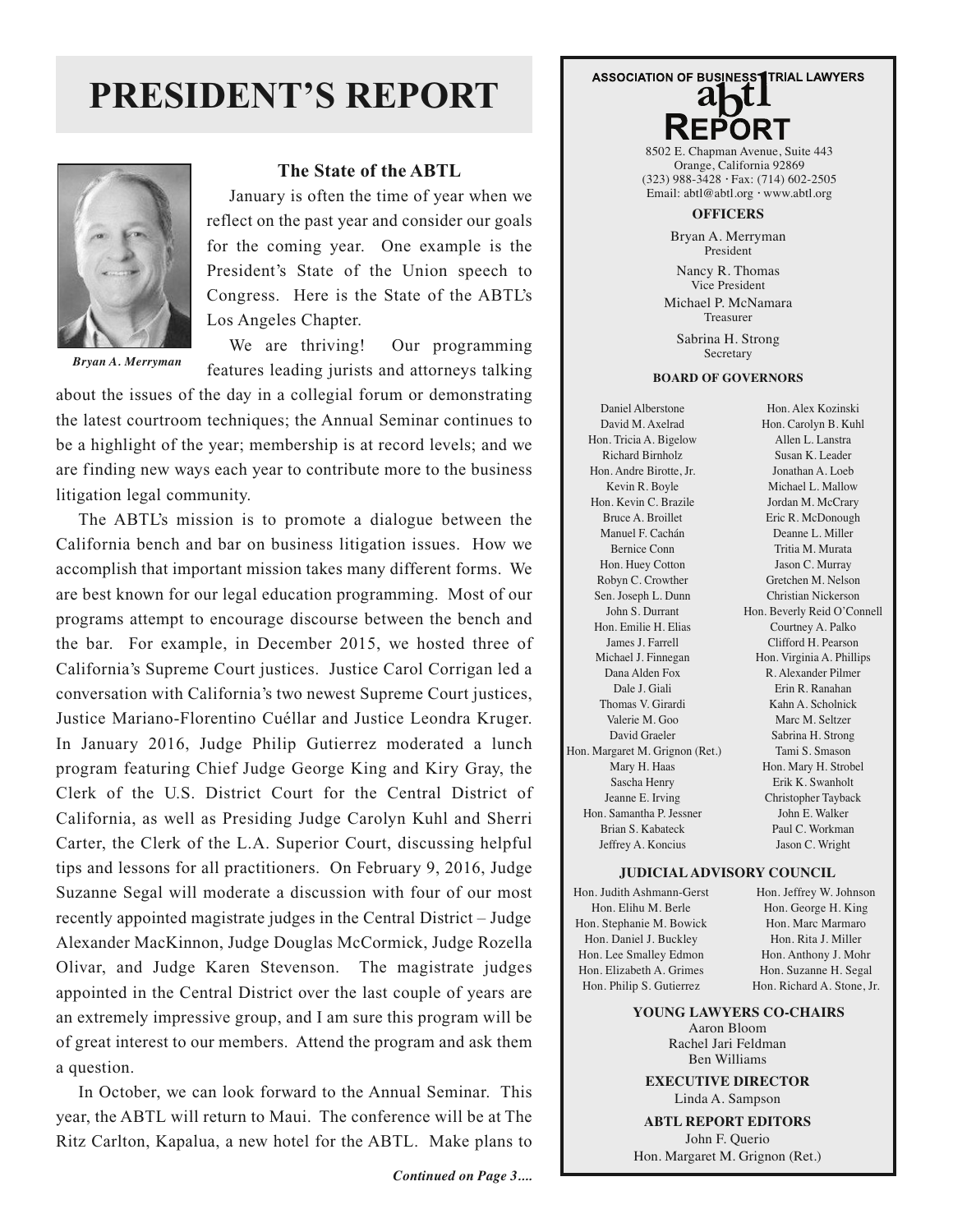## **PRESIDENT'S REPORT**



*Bryan A. Merryman*

#### **The State of the ABTL**

January is often the time of year when we reflect on the past year and consider our goals for the coming year. One example is the President's State of the Union speech to Congress. Here is the State of the ABTL's Los Angeles Chapter.

We are thriving! Our programming features leading jurists and attorneys talking

about the issues of the day in a collegial forum or demonstrating the latest courtroom techniques; the Annual Seminar continues to be a highlight of the year; membership is at record levels; and we are finding new ways each year to contribute more to the business litigation legal community.

The ABTL's mission is to promote a dialogue between the California bench and bar on business litigation issues. How we accomplish that important mission takes many different forms. We are best known for our legal education programming. Most of our programs attempt to encourage discourse between the bench and the bar. For example, in December 2015, we hosted three of California's Supreme Court justices. Justice Carol Corrigan led a conversation with California's two newest Supreme Court justices, Justice Mariano-Florentino Cuéllar and Justice Leondra Kruger. In January 2016, Judge Philip Gutierrez moderated a lunch program featuring Chief Judge George King and Kiry Gray, the Clerk of the U.S. District Court for the Central District of California, as well as Presiding Judge Carolyn Kuhl and Sherri Carter, the Clerk of the L.A. Superior Court, discussing helpful tips and lessons for all practitioners. On February 9, 2016, Judge Suzanne Segal will moderate a discussion with four of our most recently appointed magistrate judges in the Central District – Judge Alexander MacKinnon, Judge Douglas McCormick, Judge Rozella Olivar, and Judge Karen Stevenson. The magistrate judges appointed in the Central District over the last couple of years are an extremely impressive group, and I am sure this program will be of great interest to our members. Attend the program and ask them a question.

In October, we can look forward to the Annual Seminar. This year, the ABTL will return to Maui. The conference will be at The Ritz Carlton, Kapalua, a new hotel for the ABTL. Make plans to

# **ASSOCIATION OF BUSINESS1TRIAL LAWYERS**

8502 E. Chapman Avenue, Suite 443 Orange, California 92869 (323) 988-3428 *∙* Fax: (714) 602-2505 Email: abtl@abtl.org *∙* www.abtl.org

#### **OFFICERS**

Bryan A. Merryman President

Nancy R. Thomas Vice President Michael P. McNamara Treasurer

Sabrina H. Strong Secretary

#### **BOARD OF GOVERNORS**

Daniel Alberstone David M. Axelrad Hon. Tricia A. Bigelow Richard Birnholz Hon. Andre Birotte, Jr. Kevin R. Boyle Hon. Kevin C. Brazile Bruce A. Broillet Manuel F. Cachán Bernice Conn Hon. Huey Cotton Robyn C. Crowther Sen. Joseph L. Dunn John S. Durrant Hon. Emilie H. Elias James J. Farrell Michael J. Finnegan Dana Alden Fox Dale J. Giali Thomas V. Girardi Valerie M. Goo David Graeler Hon. Margaret M. Grignon (Ret.) Mary H. Haas Sascha Henry Jeanne E. Irving Hon. Samantha P. Jessner Brian S. Kabateck Jeffrey A. Koncius

Hon. Alex Kozinski Hon. Carolyn B. Kuhl Allen L. Lanstra Susan K. Leader Jonathan A. Loeb Michael L. Mallow Jordan M. McCrary Eric R. McDonough Deanne L. Miller Tritia M. Murata Jason C. Murray Gretchen M. Nelson Christian Nickerson Hon. Beverly Reid O'Connell Courtney A. Palko Clifford H. Pearson Hon. Virginia A. Phillips R. Alexander Pilmer Erin R. Ranahan Kahn A. Scholnick Marc M. Seltzer Sabrina H. Strong Tami S. Smason Hon. Mary H. Strobel Erik K. Swanholt Christopher Tayback John E. Walker Paul C. Workman Jason C. Wright

#### **JUDICIAL ADVISORY COUNCIL**

Hon. Judith Ashmann-Gerst Hon. Elihu M. Berle Hon. Stephanie M. Bowick Hon. Daniel J. Buckley Hon. Lee Smalley Edmon Hon. Elizabeth A. Grimes Hon. Philip S. Gutierrez

Hon. Jeffrey W. Johnson Hon. George H. King Hon. Marc Marmaro Hon. Rita J. Miller Hon. Anthony J. Mohr Hon. Suzanne H. Segal Hon. Richard A. Stone, Jr.

**YOUNG LAWYERS CO-CHAIRS** Aaron Bloom Rachel Jari Feldman Ben Williams

**EXECUTIVE DIRECTOR** Linda A. Sampson

**ABTL REPORT EDITORS** John F. Querio Hon. Margaret M. Grignon (Ret.)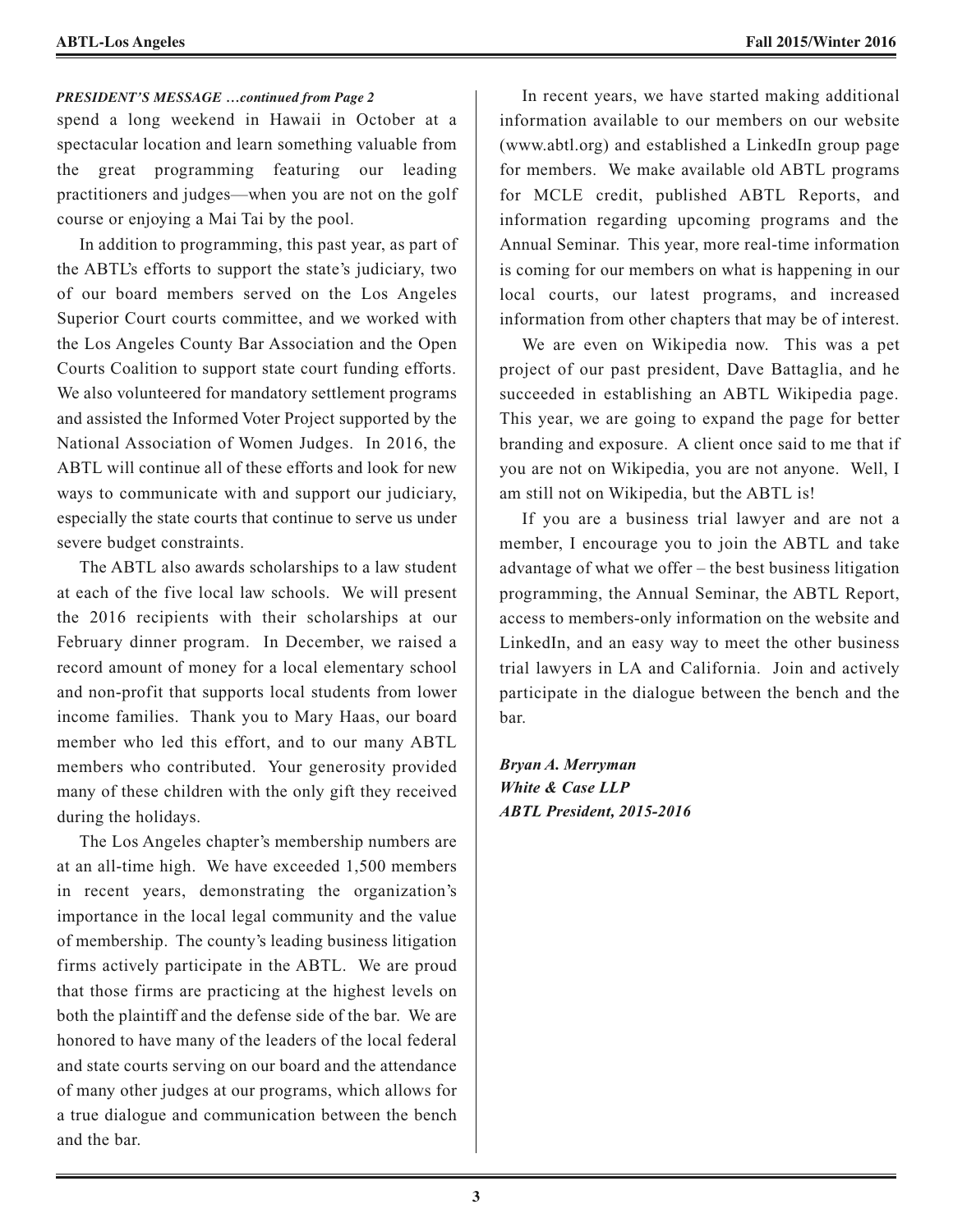#### *PRESIDENT'S MESSAGE …continued from Page 2*

spend a long weekend in Hawaii in October at a spectacular location and learn something valuable from the great programming featuring our leading practitioners and judges—when you are not on the golf course or enjoying a Mai Tai by the pool.

In addition to programming, this past year, as part of the ABTL's efforts to support the state's judiciary, two of our board members served on the Los Angeles Superior Court courts committee, and we worked with the Los Angeles County Bar Association and the Open Courts Coalition to support state court funding efforts. We also volunteered for mandatory settlement programs and assisted the Informed Voter Project supported by the National Association of Women Judges. In 2016, the ABTL will continue all of these efforts and look for new ways to communicate with and support our judiciary, especially the state courts that continue to serve us under severe budget constraints.

The ABTL also awards scholarships to a law student at each of the five local law schools. We will present the 2016 recipients with their scholarships at our February dinner program. In December, we raised a record amount of money for a local elementary school and non-profit that supports local students from lower income families. Thank you to Mary Haas, our board member who led this effort, and to our many ABTL members who contributed. Your generosity provided many of these children with the only gift they received during the holidays.

The Los Angeles chapter's membership numbers are at an all-time high. We have exceeded 1,500 members in recent years, demonstrating the organization's importance in the local legal community and the value of membership. The county's leading business litigation firms actively participate in the ABTL. We are proud that those firms are practicing at the highest levels on both the plaintiff and the defense side of the bar. We are honored to have many of the leaders of the local federal and state courts serving on our board and the attendance of many other judges at our programs, which allows for a true dialogue and communication between the bench and the bar.

In recent years, we have started making additional information available to our members on our website (www.abtl.org) and established a LinkedIn group page for members. We make available old ABTL programs for MCLE credit, published ABTL Reports, and information regarding upcoming programs and the Annual Seminar. This year, more real-time information is coming for our members on what is happening in our local courts, our latest programs, and increased information from other chapters that may be of interest.

We are even on Wikipedia now. This was a pet project of our past president, Dave Battaglia, and he succeeded in establishing an ABTL Wikipedia page. This year, we are going to expand the page for better branding and exposure. A client once said to me that if you are not on Wikipedia, you are not anyone. Well, I am still not on Wikipedia, but the ABTL is!

If you are a business trial lawyer and are not a member, I encourage you to join the ABTL and take advantage of what we offer – the best business litigation programming, the Annual Seminar, the ABTL Report, access to members-only information on the website and LinkedIn, and an easy way to meet the other business trial lawyers in LA and California. Join and actively participate in the dialogue between the bench and the bar.

*Bryan A. Merryman White & Case LLP ABTL President, 2015-2016*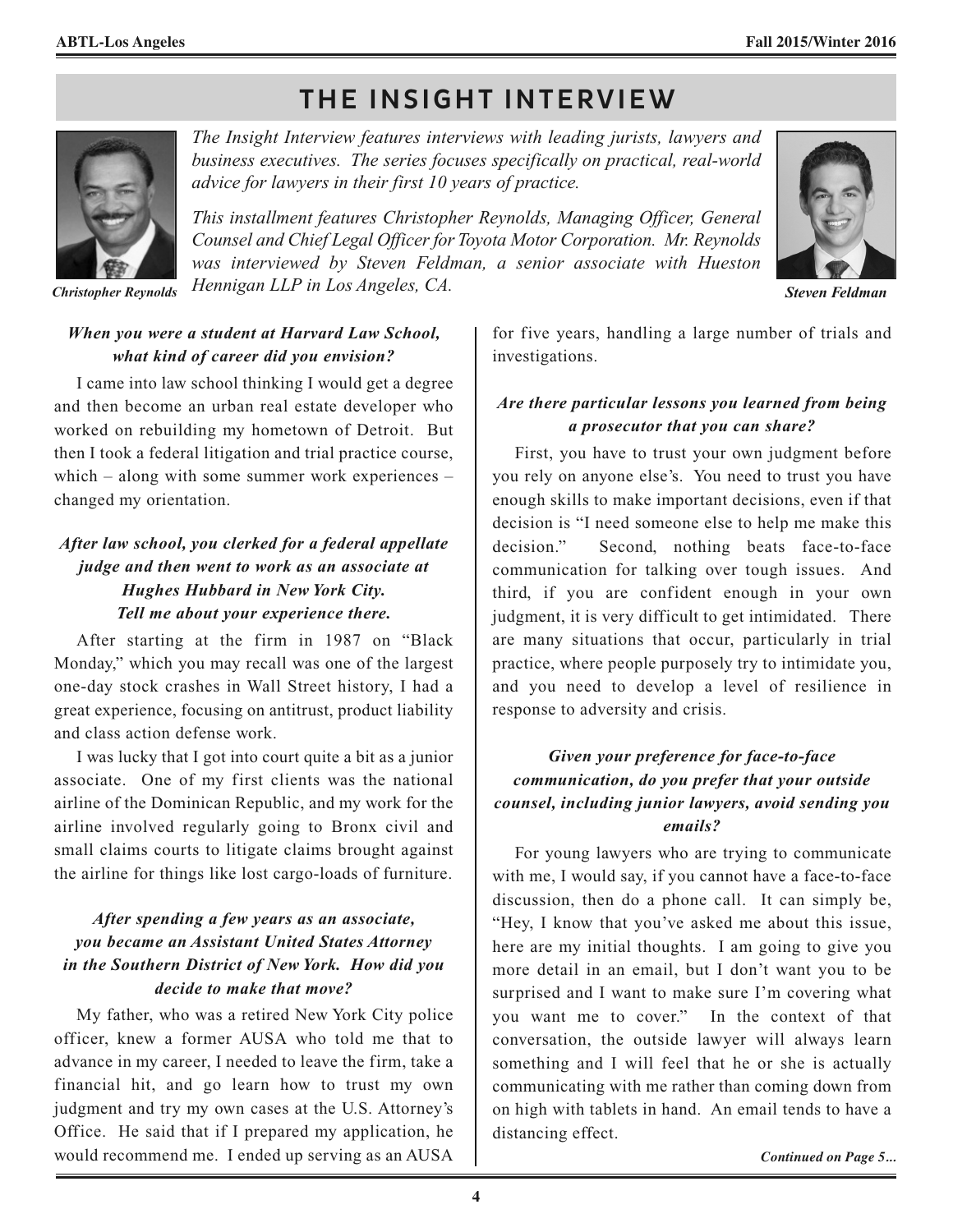## **THE INSIGHT INTERVIEW**



*The Insight Interview features interviews with leading jurists, lawyers and business executives. The series focuses specifically on practical, real-world advice for lawyers in their first 10 years of practice.*

*This installment features Christopher Reynolds, Managing Officer, General Counsel and Chief Legal Officer for Toyota Motor Corporation. Mr. Reynolds was interviewed by Steven Feldman, a senior associate with Hueston Hennigan LLP in Los Angeles, CA. Christopher Reynolds Steven Feldman*



#### *When you were a student at Harvard Law School, what kind of career did you envision?*

I came into law school thinking I would get a degree and then become an urban real estate developer who worked on rebuilding my hometown of Detroit. But then I took a federal litigation and trial practice course, which – along with some summer work experiences – changed my orientation.

### *After law school, you clerked for a federal appellate judge and then went to work as an associate at Hughes Hubbard in New York City. Tell me about your experience there.*

After starting at the firm in 1987 on "Black Monday," which you may recall was one of the largest one-day stock crashes in Wall Street history, I had a great experience, focusing on antitrust, product liability and class action defense work.

I was lucky that I got into court quite a bit as a junior associate. One of my first clients was the national airline of the Dominican Republic, and my work for the airline involved regularly going to Bronx civil and small claims courts to litigate claims brought against the airline for things like lost cargo-loads of furniture.

#### *After spending a few years as an associate, you became an Assistant United States Attorney in the Southern District of New York. How did you decide to make that move?*

My father, who was a retired New York City police officer, knew a former AUSA who told me that to advance in my career, I needed to leave the firm, take a financial hit, and go learn how to trust my own judgment and try my own cases at the U.S. Attorney's Office. He said that if I prepared my application, he would recommend me. I ended up serving as an AUSA

for five years, handling a large number of trials and investigations.

#### *Are there particular lessons you learned from being a prosecutor that you can share?*

First, you have to trust your own judgment before you rely on anyone else's. You need to trust you have enough skills to make important decisions, even if that decision is "I need someone else to help me make this decision." Second, nothing beats face-to-face communication for talking over tough issues. And third, if you are confident enough in your own judgment, it is very difficult to get intimidated. There are many situations that occur, particularly in trial practice, where people purposely try to intimidate you, and you need to develop a level of resilience in response to adversity and crisis.

#### *Given your preference for face-to-face communication, do you prefer that your outside counsel, including junior lawyers, avoid sending you emails?*

For young lawyers who are trying to communicate with me, I would say, if you cannot have a face-to-face discussion, then do a phone call. It can simply be, "Hey, I know that you've asked me about this issue, here are my initial thoughts. I am going to give you more detail in an email, but I don't want you to be surprised and I want to make sure I'm covering what you want me to cover." In the context of that conversation, the outside lawyer will always learn something and I will feel that he or she is actually communicating with me rather than coming down from on high with tablets in hand. An email tends to have a distancing effect.

*Continued on Page 5...*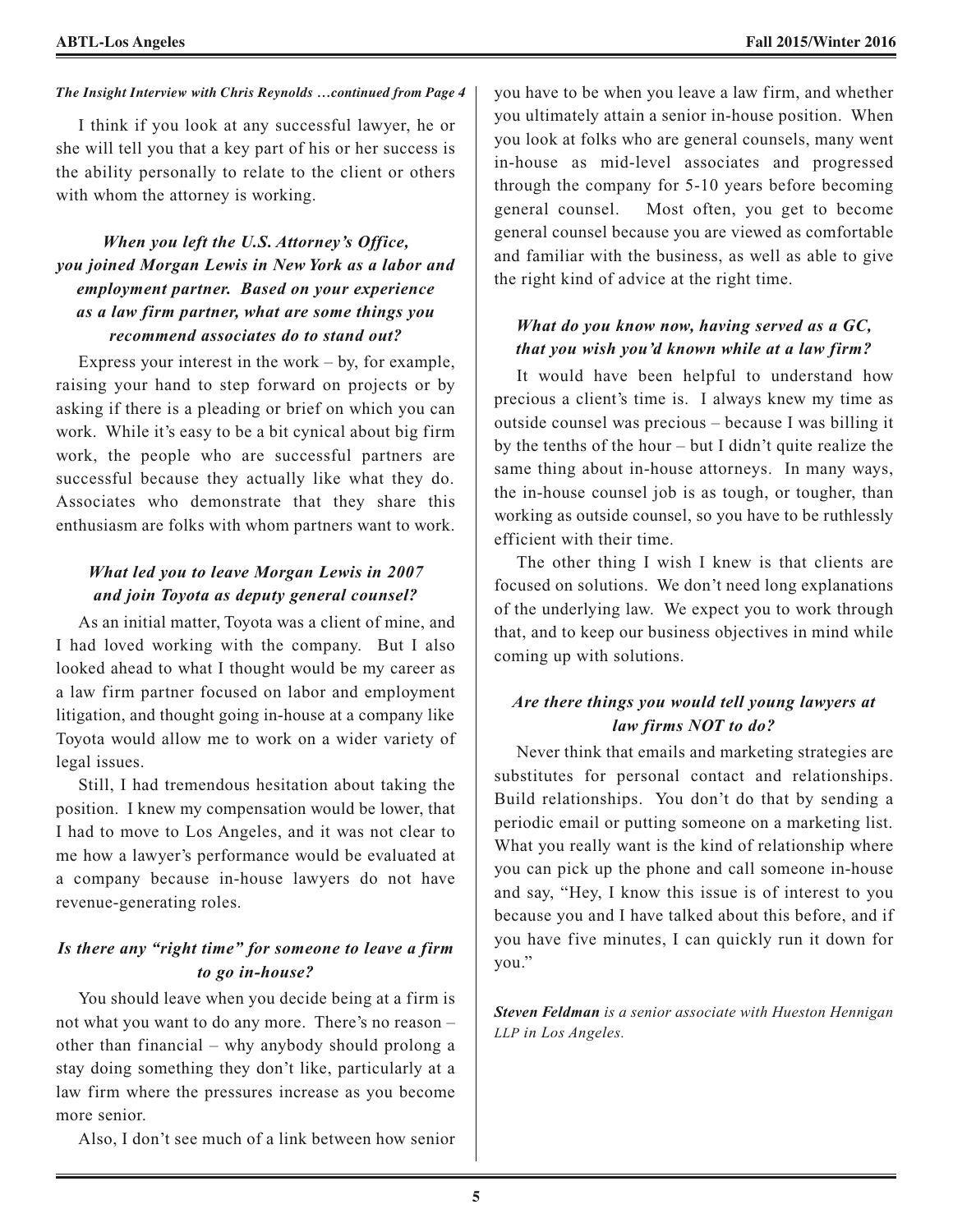#### *The Insight Interview with Chris Reynolds …continued from Page 4* you have to be when you leave a law firm, and whether

I think if you look at any successful lawyer, he or she will tell you that a key part of his or her success is the ability personally to relate to the client or others with whom the attorney is working.

#### *When you left the U.S. Attorney's Office, you joined Morgan Lewis in New York as a labor and employment partner. Based on your experience as a law firm partner, what are some things you recommend associates do to stand out?*

Express your interest in the work  $-$  by, for example, raising your hand to step forward on projects or by asking if there is a pleading or brief on which you can work. While it's easy to be a bit cynical about big firm work, the people who are successful partners are successful because they actually like what they do. Associates who demonstrate that they share this enthusiasm are folks with whom partners want to work.

#### *What led you to leave Morgan Lewis in 2007 and join Toyota as deputy general counsel?*

As an initial matter, Toyota was a client of mine, and I had loved working with the company. But I also looked ahead to what I thought would be my career as a law firm partner focused on labor and employment litigation, and thought going in-house at a company like Toyota would allow me to work on a wider variety of legal issues.

Still, I had tremendous hesitation about taking the position. I knew my compensation would be lower, that I had to move to Los Angeles, and it was not clear to me how a lawyer's performance would be evaluated at a company because in-house lawyers do not have revenue-generating roles.

#### *Is there any "right time" for someone to leave a firm to go in-house?*

You should leave when you decide being at a firm is not what you want to do any more. There's no reason – other than financial – why anybody should prolong a stay doing something they don't like, particularly at a law firm where the pressures increase as you become more senior.

Also, I don't see much of a link between how senior

you ultimately attain a senior in-house position. When you look at folks who are general counsels, many went in-house as mid-level associates and progressed through the company for 5-10 years before becoming general counsel. Most often, you get to become general counsel because you are viewed as comfortable and familiar with the business, as well as able to give the right kind of advice at the right time.

#### *What do you know now, having served as a GC, that you wish you'd known while at a law firm?*

It would have been helpful to understand how precious a client's time is. I always knew my time as outside counsel was precious – because I was billing it by the tenths of the hour – but I didn't quite realize the same thing about in-house attorneys. In many ways, the in-house counsel job is as tough, or tougher, than working as outside counsel, so you have to be ruthlessly efficient with their time.

The other thing I wish I knew is that clients are focused on solutions. We don't need long explanations of the underlying law. We expect you to work through that, and to keep our business objectives in mind while coming up with solutions.

#### *Are there things you would tell young lawyers at law firms NOT to do?*

Never think that emails and marketing strategies are substitutes for personal contact and relationships. Build relationships. You don't do that by sending a periodic email or putting someone on a marketing list. What you really want is the kind of relationship where you can pick up the phone and call someone in-house and say, "Hey, I know this issue is of interest to you because you and I have talked about this before, and if you have five minutes, I can quickly run it down for you."

*Steven Feldman is a senior associate with Hueston Hennigan LLP in Los Angeles.*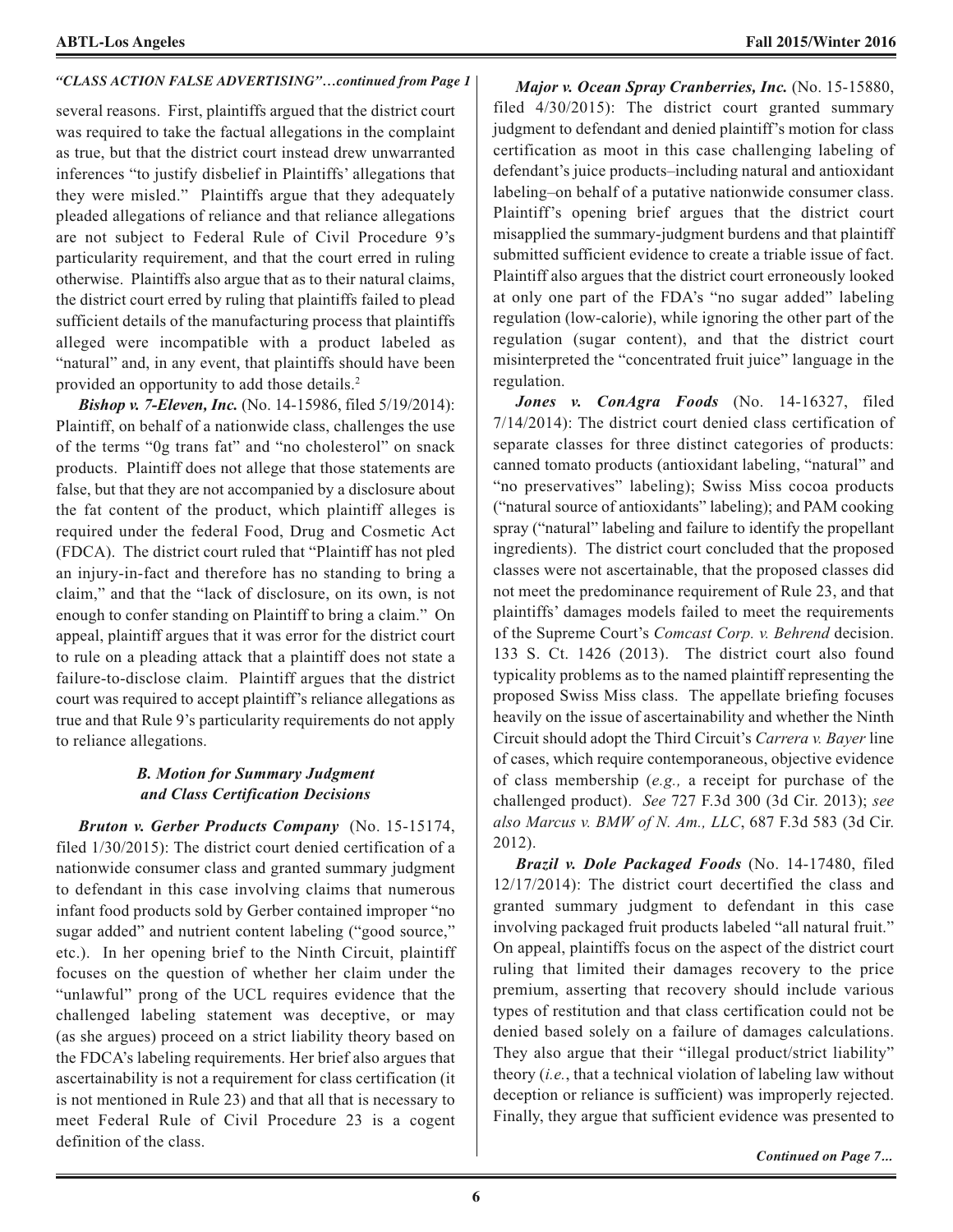#### *"CLASS ACTION FALSE ADVERTISING"…continued from Page 1*

several reasons. First, plaintiffs argued that the district court was required to take the factual allegations in the complaint as true, but that the district court instead drew unwarranted inferences "to justify disbelief in Plaintiffs' allegations that they were misled." Plaintiffs argue that they adequately pleaded allegations of reliance and that reliance allegations are not subject to Federal Rule of Civil Procedure 9's particularity requirement, and that the court erred in ruling otherwise. Plaintiffs also argue that as to their natural claims, the district court erred by ruling that plaintiffs failed to plead sufficient details of the manufacturing process that plaintiffs alleged were incompatible with a product labeled as "natural" and, in any event, that plaintiffs should have been provided an opportunity to add those details. 2

*Bishop v. 7-Eleven, Inc.* (No. 14-15986, filed 5/19/2014): Plaintiff, on behalf of a nationwide class, challenges the use of the terms "0g trans fat" and "no cholesterol" on snack products. Plaintiff does not allege that those statements are false, but that they are not accompanied by a disclosure about the fat content of the product, which plaintiff alleges is required under the federal Food, Drug and Cosmetic Act (FDCA). The district court ruled that "Plaintiff has not pled an injury-in-fact and therefore has no standing to bring a claim," and that the "lack of disclosure, on its own, is not enough to confer standing on Plaintiff to bring a claim." On appeal, plaintiff argues that it was error for the district court to rule on a pleading attack that a plaintiff does not state a failure-to-disclose claim. Plaintiff argues that the district court was required to accept plaintiff's reliance allegations as true and that Rule 9's particularity requirements do not apply to reliance allegations.

#### *B. Motion for Summary Judgment and Class Certification Decisions*

*Bruton v. Gerber Products Company* (No. 15-15174, filed 1/30/2015): The district court denied certification of a nationwide consumer class and granted summary judgment to defendant in this case involving claims that numerous infant food products sold by Gerber contained improper "no sugar added" and nutrient content labeling ("good source," etc.). In her opening brief to the Ninth Circuit, plaintiff focuses on the question of whether her claim under the "unlawful" prong of the UCL requires evidence that the challenged labeling statement was deceptive, or may (as she argues) proceed on a strict liability theory based on the FDCA's labeling requirements. Her brief also argues that ascertainability is not a requirement for class certification (it is not mentioned in Rule 23) and that all that is necessary to meet Federal Rule of Civil Procedure 23 is a cogent definition of the class.

regulation (low-calorie), while ignoring the other part of the *Major v. Ocean Spray Cranberries, Inc.* (No. 15-15880, filed 4/30/2015): The district court granted summary judgment to defendant and denied plaintiff's motion for class certification as moot in this case challenging labeling of defendant's juice products–including natural and antioxidant labeling–on behalf of a putative nationwide consumer class. Plaintiff's opening brief argues that the district court misapplied the summary-judgment burdens and that plaintiff submitted sufficient evidence to create a triable issue of fact. Plaintiff also argues that the district court erroneously looked at only one part of the FDA's "no sugar added" labeling regulation (sugar content), and that the district court misinterpreted the "concentrated fruit juice" language in the regulation.

*Jones v. ConAgra Foods* (No. 14-16327, filed 7/14/2014): The district court denied class certification of separate classes for three distinct categories of products: canned tomato products (antioxidant labeling, "natural" and "no preservatives" labeling); Swiss Miss cocoa products ("natural source of antioxidants" labeling); and PAM cooking spray ("natural" labeling and failure to identify the propellant ingredients). The district court concluded that the proposed classes were not ascertainable, that the proposed classes did not meet the predominance requirement of Rule 23, and that plaintiffs' damages models failed to meet the requirements of the Supreme Court's *Comcast Corp. v. Behrend* decision. 133 S. Ct. 1426 (2013). The district court also found typicality problems as to the named plaintiff representing the proposed Swiss Miss class. The appellate briefing focuses heavily on the issue of ascertainability and whether the Ninth Circuit should adopt the Third Circuit's *Carrera v. Bayer* line of cases, which require contemporaneous, objective evidence of class membership (*e.g.,* a receipt for purchase of the challenged product). *See* 727 F.3d 300 (3d Cir. 2013); *see also Marcus v. BMW of N. Am., LLC*, 687 F.3d 583 (3d Cir. 2012).

*Brazil v. Dole Packaged Foods* (No. 14-17480, filed 12/17/2014): The district court decertified the class and granted summary judgment to defendant in this case involving packaged fruit products labeled "all natural fruit." On appeal, plaintiffs focus on the aspect of the district court ruling that limited their damages recovery to the price premium, asserting that recovery should include various types of restitution and that class certification could not be denied based solely on a failure of damages calculations. They also argue that their "illegal product/strict liability" theory (*i.e.*, that a technical violation of labeling law without deception or reliance is sufficient) was improperly rejected. Finally, they argue that sufficient evidence was presented to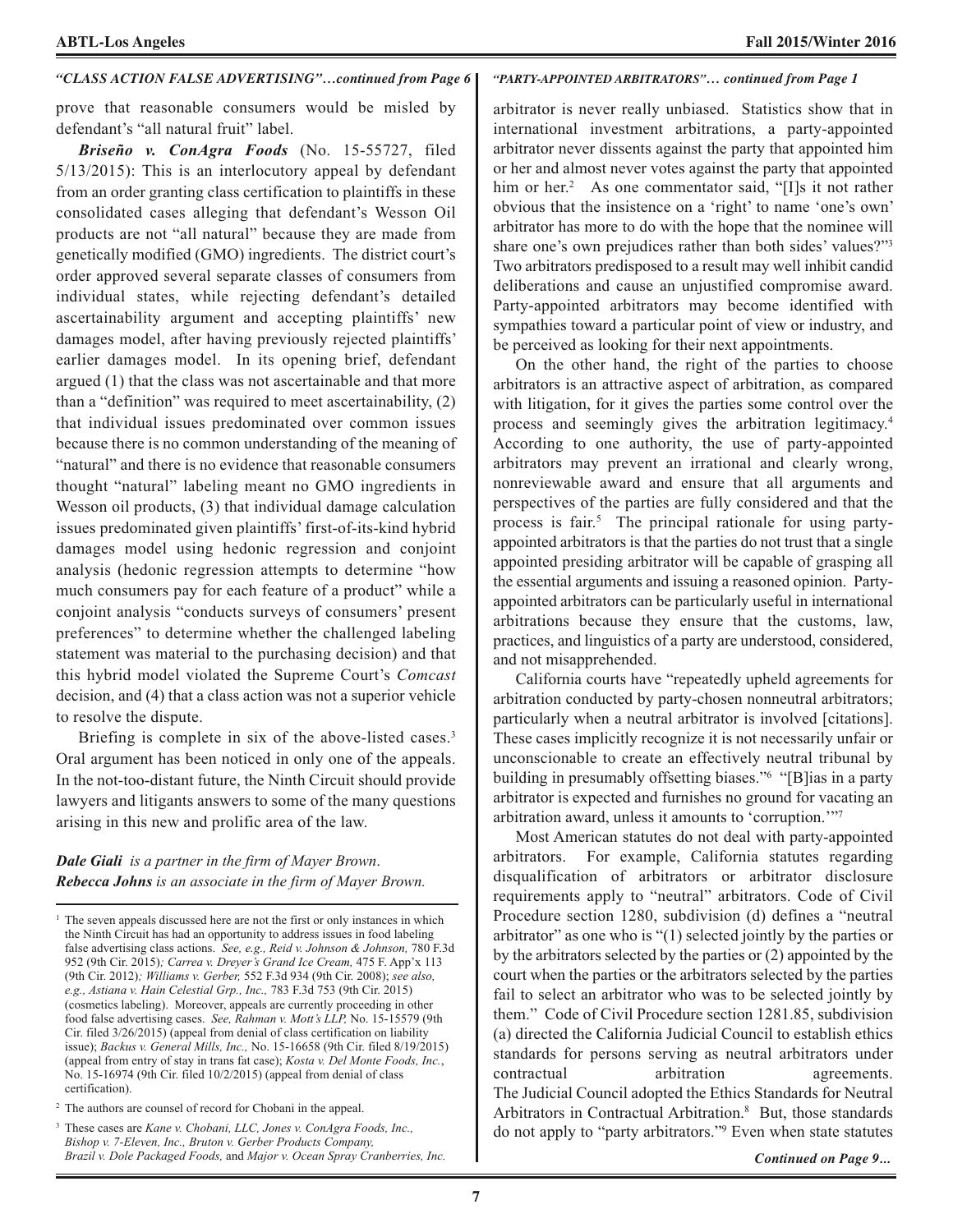#### *"CLASS ACTION FALSE ADVERTISING"…continued from Page 6*

prove that reasonable consumers would be misled by defendant's "all natural fruit" label.

*Briseño v. ConAgra Foods* (No. 15-55727, filed 5/13/2015): This is an interlocutory appeal by defendant from an order granting class certification to plaintiffs in these consolidated cases alleging that defendant's Wesson Oil products are not "all natural" because they are made from genetically modified (GMO) ingredients. The district court's order approved several separate classes of consumers from individual states, while rejecting defendant's detailed ascertainability argument and accepting plaintiffs' new damages model, after having previously rejected plaintiffs' earlier damages model. In its opening brief, defendant argued (1) that the class was not ascertainable and that more than a "definition" was required to meet ascertainability, (2) that individual issues predominated over common issues because there is no common understanding of the meaning of "natural" and there is no evidence that reasonable consumers thought "natural" labeling meant no GMO ingredients in Wesson oil products, (3) that individual damage calculation issues predominated given plaintiffs' first-of-its-kind hybrid damages model using hedonic regression and conjoint analysis (hedonic regression attempts to determine "how much consumers pay for each feature of a product" while a conjoint analysis "conducts surveys of consumers' present preferences" to determine whether the challenged labeling statement was material to the purchasing decision) and that this hybrid model violated the Supreme Court's *Comcast* decision, and (4) that a class action was not a superior vehicle to resolve the dispute.

Briefing is complete in six of the above-listed cases.<sup>3</sup> Oral argument has been noticed in only one of the appeals. In the not-too-distant future, the Ninth Circuit should provide lawyers and litigants answers to some of the many questions arising in this new and prolific area of the law.

#### *Dale Giali is a partner in the firm of Mayer Brown*. *Rebecca Johns is an associate in the firm of Mayer Brown.*

#### *"PARTY-APPOINTED ARBITRATORS"… continued from Page 1*

arbitrator is never really unbiased. Statistics show that in international investment arbitrations, a party-appointed arbitrator never dissents against the party that appointed him or her and almost never votes against the party that appointed him or her. <sup>2</sup> As one commentator said, "[I]s it not rather obvious that the insistence on a 'right' to name 'one's own' arbitrator has more to do with the hope that the nominee will share one's own prejudices rather than both sides' values?"3 Two arbitrators predisposed to a result may well inhibit candid deliberations and cause an unjustified compromise award. Party-appointed arbitrators may become identified with sympathies toward a particular point of view or industry, and be perceived as looking for their next appointments.

On the other hand, the right of the parties to choose arbitrators is an attractive aspect of arbitration, as compared with litigation, for it gives the parties some control over the process and seemingly gives the arbitration legitimacy. 4 According to one authority, the use of party-appointed arbitrators may prevent an irrational and clearly wrong, nonreviewable award and ensure that all arguments and perspectives of the parties are fully considered and that the process is fair. <sup>5</sup> The principal rationale for using partyappointed arbitrators is that the parties do not trust that a single appointed presiding arbitrator will be capable of grasping all the essential arguments and issuing a reasoned opinion. Partyappointed arbitrators can be particularly useful in international arbitrations because they ensure that the customs, law, practices, and linguistics of a party are understood, considered, and not misapprehended.

California courts have "repeatedly upheld agreements for arbitration conducted by party-chosen nonneutral arbitrators; particularly when a neutral arbitrator is involved [citations]. These cases implicitly recognize it is not necessarily unfair or unconscionable to create an effectively neutral tribunal by building in presumably offsetting biases."6 "[B]ias in a party arbitrator is expected and furnishes no ground for vacating an arbitration award, unless it amounts to 'corruption.'"7

Most American statutes do not deal with party-appointed arbitrators. For example, California statutes regarding disqualification of arbitrators or arbitrator disclosure requirements apply to "neutral" arbitrators. Code of Civil Procedure section 1280, subdivision (d) defines a "neutral arbitrator" as one who is "(1) selected jointly by the parties or by the arbitrators selected by the parties or (2) appointed by the court when the parties or the arbitrators selected by the parties fail to select an arbitrator who was to be selected jointly by them." Code of Civil Procedure section 1281.85, subdivision (a) directed the California Judicial Council to establish ethics standards for persons serving as neutral arbitrators under contractual arbitration agreements. The Judicial Council adopted the Ethics Standards for Neutral Arbitrators in Contractual Arbitration. <sup>8</sup> But, those standards do not apply to "party arbitrators."9 Even when state statutes

*Continued on Page 9...*

<sup>&</sup>lt;sup>1</sup> The seven appeals discussed here are not the first or only instances in which the Ninth Circuit has had an opportunity to address issues in food labeling false advertising class actions. *See, e.g., Reid v. Johnson & Johnson,* 780 F.3d 952 (9th Cir. 2015)*; Carrea v. Dreyer's Grand Ice Cream,* 475 F. App'x 113 (9th Cir. 2012)*; Williams v. Gerber,* 552 F.3d 934 (9th Cir. 2008); *see also, e.g., Astiana v. Hain Celestial Grp., Inc.,* 783 F.3d 753 (9th Cir. 2015) (cosmetics labeling). Moreover, appeals are currently proceeding in other food false advertising cases. *See, Rahman v. Mott's LLP,* No. 15-15579 (9th Cir. filed 3/26/2015) (appeal from denial of class certification on liability issue); *Backus v. General Mills, Inc.,* No. 15-16658 (9th Cir. filed 8/19/2015) (appeal from entry of stay in trans fat case); *Kosta v. Del Monte Foods, Inc.*, No. 15-16974 (9th Cir. filed 10/2/2015) (appeal from denial of class certification).

<sup>2</sup> The authors are counsel of record for Chobani in the appeal.

<sup>3</sup> These cases are *Kane v. Chobani, LLC, Jones v. ConAgra Foods, Inc., Bishop v. 7-Eleven, Inc., Bruton v. Gerber Products Company, Brazil v. Dole Packaged Foods,* and *Major v. Ocean Spray Cranberries, Inc.*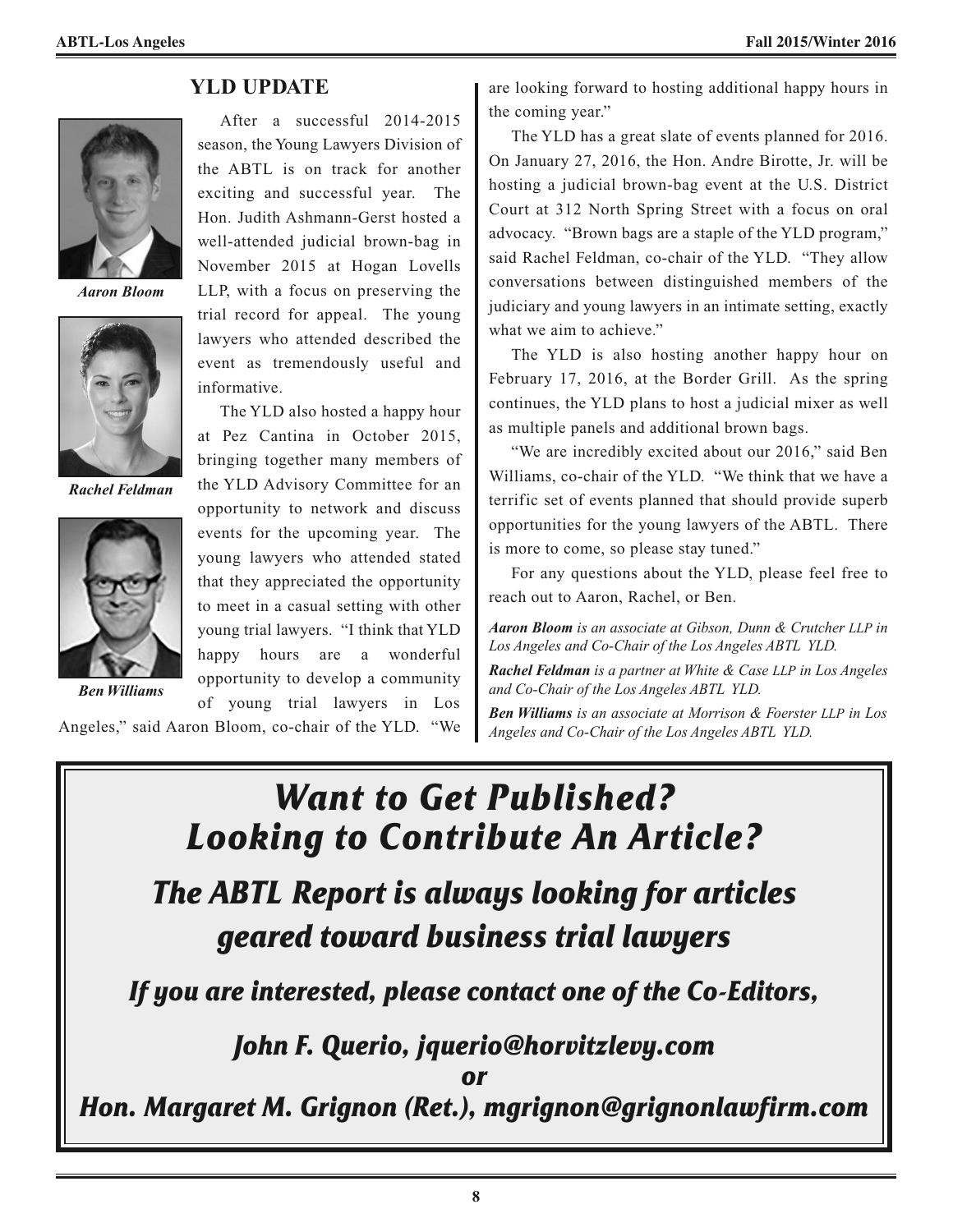

*Aaron Bloom*



*Rachel Feldman*



*Ben Williams*

After a successful 2014-2015 season, the Young Lawyers Division of the ABTL is on track for another exciting and successful year. The Hon. Judith Ashmann-Gerst hosted a well-attended judicial brown-bag in November 2015 at Hogan Lovells

**YLD UPDATE**

LLP, with a focus on preserving the trial record for appeal. The young lawyers who attended described the event as tremendously useful and informative.

The YLD also hosted a happy hour at Pez Cantina in October 2015, bringing together many members of the YLD Advisory Committee for an opportunity to network and discuss events for the upcoming year. The young lawyers who attended stated that they appreciated the opportunity to meet in a casual setting with other young trial lawyers. "I think that YLD happy hours are a wonderful opportunity to develop a community of young trial lawyers in Los

Angeles," said Aaron Bloom, co-chair of the YLD. "We

are looking forward to hosting additional happy hours in the coming year."

The YLD has a great slate of events planned for 2016. On January 27, 2016, the Hon. Andre Birotte, Jr. will be hosting a judicial brown-bag event at the U.S. District Court at 312 North Spring Street with a focus on oral advocacy. "Brown bags are a staple of the YLD program," said Rachel Feldman, co-chair of the YLD. "They allow conversations between distinguished members of the judiciary and young lawyers in an intimate setting, exactly what we aim to achieve."

The YLD is also hosting another happy hour on February 17, 2016, at the Border Grill. As the spring continues, the YLD plans to host a judicial mixer as well as multiple panels and additional brown bags.

"We are incredibly excited about our 2016," said Ben Williams, co-chair of the YLD. "We think that we have a terrific set of events planned that should provide superb opportunities for the young lawyers of the ABTL. There is more to come, so please stay tuned."

For any questions about the YLD, please feel free to reach out to Aaron, Rachel, or Ben.

*Aaron Bloom is an associate at Gibson, Dunn & Crutcher LLP in Los Angeles and Co-Chair of the Los Angeles ABTL YLD.*

*Rachel Feldman is a partner at White & Case LLP in Los Angeles and Co-Chair of the Los Angeles ABTL YLD.*

*Ben Williams is an associate at Morrison & Foerster LLP in Los Angeles and Co-Chair of the Los Angeles ABTL YLD.*

*Want to Get Published? Looking to Contribute An Article? The ABTL Report is always looking for articles geared toward business trial lawyers If you are interested, please contact one of the Co-Editors, John F. Querio, jquerio@horvitzlevy.com or Hon. Margaret M. Grignon (Ret.), mgrignon@grignonlawfirm.com*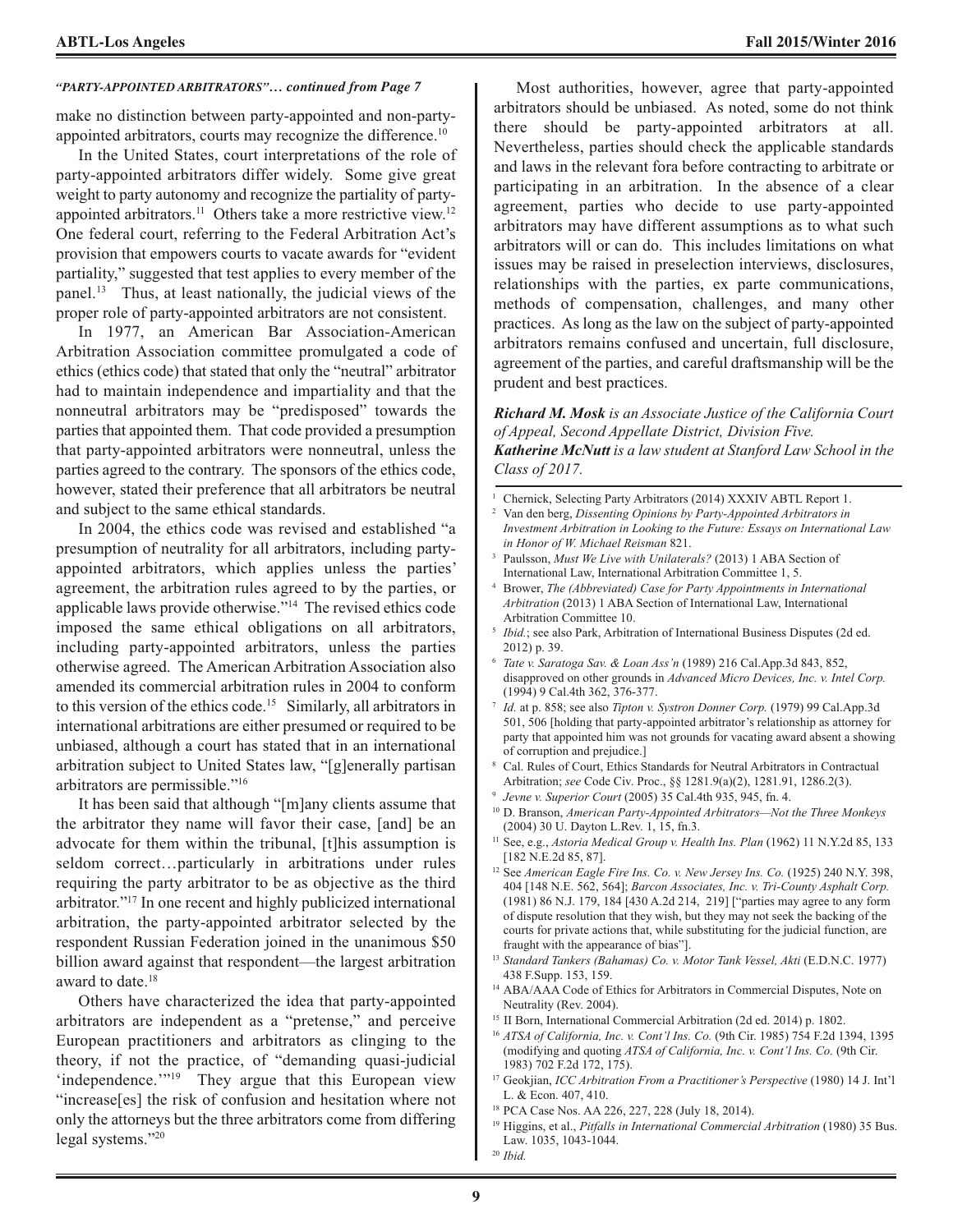make no distinction between party-appointed and non-partyappointed arbitrators, courts may recognize the difference. 10

In the United States, court interpretations of the role of party-appointed arbitrators differ widely. Some give great weight to party autonomy and recognize the partiality of partyappointed arbitrators.<sup>11</sup> Others take a more restrictive view.<sup>12</sup> One federal court, referring to the Federal Arbitration Act's provision that empowers courts to vacate awards for "evident partiality," suggested that test applies to every member of the panel. <sup>13</sup> Thus, at least nationally, the judicial views of the proper role of party-appointed arbitrators are not consistent.

In 1977, an American Bar Association-American Arbitration Association committee promulgated a code of ethics (ethics code) that stated that only the "neutral" arbitrator had to maintain independence and impartiality and that the nonneutral arbitrators may be "predisposed" towards the parties that appointed them. That code provided a presumption that party-appointed arbitrators were nonneutral, unless the parties agreed to the contrary. The sponsors of the ethics code, however, stated their preference that all arbitrators be neutral and subject to the same ethical standards.

In 2004, the ethics code was revised and established "a presumption of neutrality for all arbitrators, including partyappointed arbitrators, which applies unless the parties' agreement, the arbitration rules agreed to by the parties, or applicable laws provide otherwise."14 The revised ethics code imposed the same ethical obligations on all arbitrators, including party-appointed arbitrators, unless the parties otherwise agreed. The American Arbitration Association also amended its commercial arbitration rules in 2004 to conform to this version of the ethics code. <sup>15</sup> Similarly, all arbitrators in international arbitrations are either presumed or required to be unbiased, although a court has stated that in an international arbitration subject to United States law, "[g]enerally partisan arbitrators are permissible."16

It has been said that although "[m]any clients assume that the arbitrator they name will favor their case, [and] be an advocate for them within the tribunal, [t]his assumption is seldom correct…particularly in arbitrations under rules requiring the party arbitrator to be as objective as the third arbitrator."17 In one recent and highly publicized international arbitration, the party-appointed arbitrator selected by the respondent Russian Federation joined in the unanimous \$50 billion award against that respondent—the largest arbitration award to date. 18

Others have characterized the idea that party-appointed arbitrators are independent as a "pretense," and perceive European practitioners and arbitrators as clinging to the theory, if not the practice, of "demanding quasi-judicial 'independence.'"19 They argue that this European view "increase[es] the risk of confusion and hesitation where not only the attorneys but the three arbitrators come from differing legal systems."20

*"PARTY-APPOINTED ARBITRATORS"… continued from Page 7* Most authorities, however, agree that party-appointed arbitrators should be unbiased. As noted, some do not think there should be party-appointed arbitrators at all. Nevertheless, parties should check the applicable standards and laws in the relevant fora before contracting to arbitrate or participating in an arbitration. In the absence of a clear agreement, parties who decide to use party-appointed arbitrators may have different assumptions as to what such arbitrators will or can do. This includes limitations on what issues may be raised in preselection interviews, disclosures, relationships with the parties, ex parte communications, methods of compensation, challenges, and many other practices. As long as the law on the subject of party-appointed arbitrators remains confused and uncertain, full disclosure, agreement of the parties, and careful draftsmanship will be the prudent and best practices.

> *Richard M. Mosk is an Associate Justice of the California Court of Appeal, Second Appellate District, Division Five. Katherine McNutt is a law student at Stanford Law School in the Class of 2017.*

- <sup>1</sup> Chernick, Selecting Party Arbitrators (2014) XXXIV ABTL Report 1.
- <sup>2</sup> Van den berg, *Dissenting Opinions by Party-Appointed Arbitrators in Investment Arbitration in Looking to the Future: Essays on International Law in Honor of W. Michael Reisman* 821.
- <sup>3</sup> Paulsson, *Must We Live with Unilaterals?* (2013) 1 ABA Section of International Law, International Arbitration Committee 1, 5.
- <sup>4</sup> Brower, *The (Abbreviated) Case for Party Appointments in International Arbitration* (2013) 1 ABA Section of International Law, International Arbitration Committee 10.
- *Ibid.*; see also Park, Arbitration of International Business Disputes (2d ed. 2012) p. 39.
- <sup>6</sup> *Tate v. Saratoga Sav. & Loan Ass'n* (1989) 216 Cal.App.3d 843, 852, disapproved on other grounds in *Advanced Micro Devices, Inc. v. Intel Corp.* (1994) 9 Cal.4th 362, 376-377.
- <sup>7</sup> *Id.* at p. 858; see also *Tipton v. Systron Donner Corp.* (1979) 99 Cal.App.3d 501, 506 [holding that party-appointed arbitrator's relationship as attorney for party that appointed him was not grounds for vacating award absent a showing of corruption and prejudice.]
- <sup>8</sup> Cal. Rules of Court, Ethics Standards for Neutral Arbitrators in Contractual Arbitration; *see* Code Civ. Proc., §§ 1281.9(a)(2), 1281.91, 1286.2(3).
- <sup>9</sup> *Jevne v. Superior Court* (2005) 35 Cal.4th 935, 945, fn. 4.
- <sup>10</sup> D. Branson, *American Party-Appointed Arbitrators—Not the Three Monkeys* (2004) 30 U. Dayton L.Rev. 1, 15, fn.3.
- <sup>11</sup> See, e.g., *Astoria Medical Group v. Health Ins. Plan* (1962) 11 N.Y.2d 85, 133 [182 N.E.2d 85, 87].
- <sup>12</sup> See *American Eagle Fire Ins. Co. v. New Jersey Ins. Co.* (1925) 240 N.Y. 398, 404 [148 N.E. 562, 564]; *Barcon Associates, Inc. v. Tri-County Asphalt Corp.* (1981) 86 N.J. 179, 184 [430 A.2d 214, 219] ["parties may agree to any form of dispute resolution that they wish, but they may not seek the backing of the courts for private actions that, while substituting for the judicial function, are fraught with the appearance of bias"].
- <sup>13</sup> *Standard Tankers (Bahamas) Co. v. Motor Tank Vessel, Akti* (E.D.N.C. 1977) 438 F.Supp. 153, 159.
- <sup>14</sup> ABA/AAA Code of Ethics for Arbitrators in Commercial Disputes, Note on Neutrality (Rev. 2004).
- <sup>15</sup> II Born, International Commercial Arbitration (2d ed. 2014) p. 1802.
- <sup>16</sup> *ATSA of California, Inc. v. Cont'l Ins. Co.* (9th Cir. 1985) 754 F.2d 1394, 1395 (modifying and quoting *ATSA of California, Inc. v. Cont'l Ins. Co.* (9th Cir. 1983) 702 F.2d 172, 175).
- <sup>17</sup> Geokjian, *ICC Arbitration From a Practitioner's Perspective* (1980) 14 J. Int'l L. & Econ. 407, 410.
- <sup>18</sup> PCA Case Nos. AA 226, 227, 228 (July 18, 2014).

<sup>20</sup> *Ibid.*

<sup>19</sup> Higgins, et al., *Pitfalls in International Commercial Arbitration* (1980) 35 Bus. Law. 1035, 1043-1044.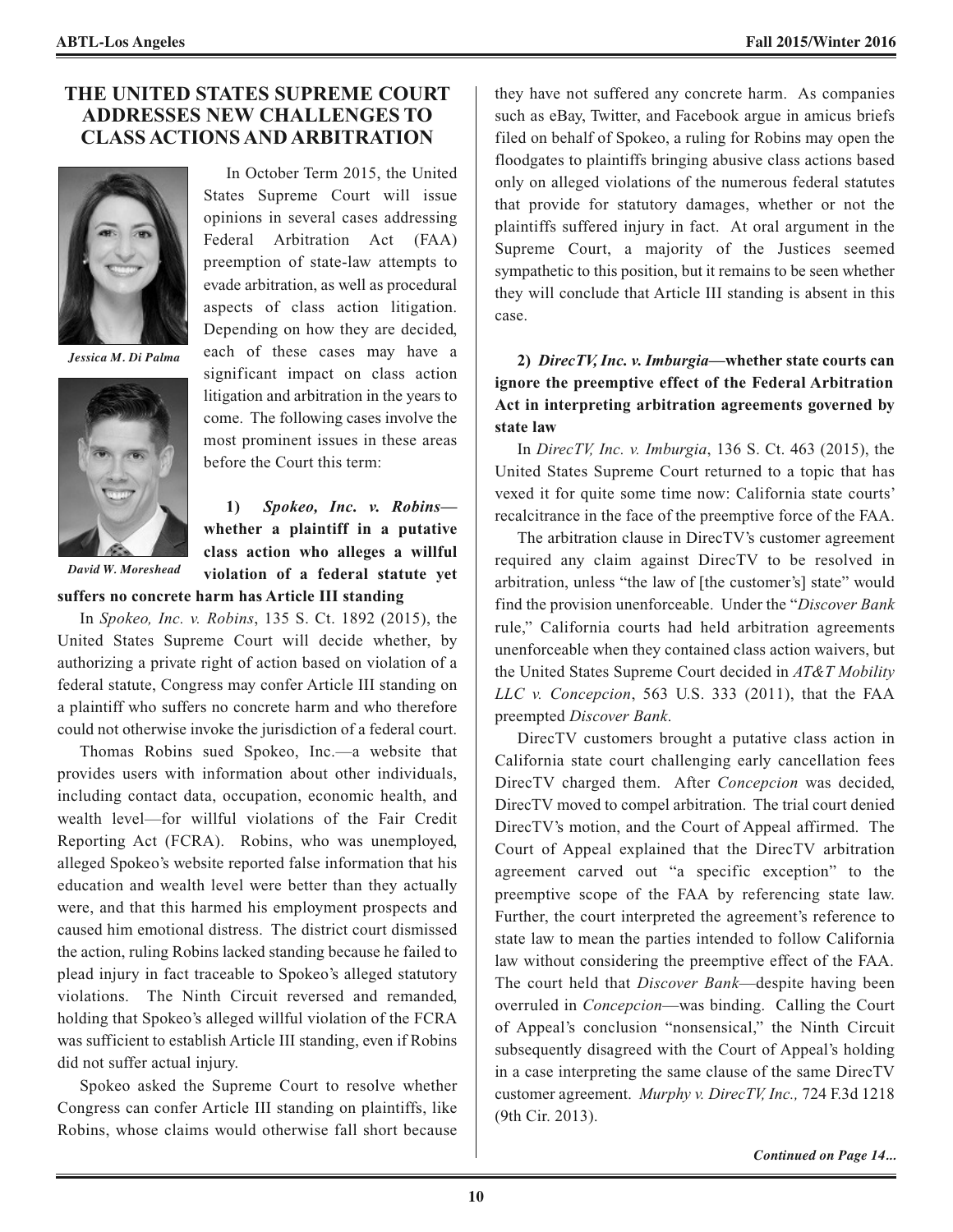#### **THE UNITED STATES SUPREME COURT ADDRESSES NEW CHALLENGES TO CLASS ACTIONS AND ARBITRATION**



*Jessica M. Di Palma*



In October Term 2015, the United States Supreme Court will issue opinions in several cases addressing Federal Arbitration Act (FAA) preemption of state-law attempts to evade arbitration, as well as procedural aspects of class action litigation. Depending on how they are decided, each of these cases may have a significant impact on class action litigation and arbitration in the years to come. The following cases involve the most prominent issues in these areas before the Court this term:

**1)** *Spokeo, Inc. v. Robins* **whether a plaintiff in a putative class action who alleges a willful violation of a federal statute yet**

*David W. Moreshead*

**suffers no concrete harm has Article III standing**

In *Spokeo, Inc. v. Robins*, 135 S. Ct. 1892 (2015), the United States Supreme Court will decide whether, by authorizing a private right of action based on violation of a federal statute, Congress may confer Article III standing on a plaintiff who suffers no concrete harm and who therefore could not otherwise invoke the jurisdiction of a federal court.

Thomas Robins sued Spokeo, Inc.—a website that provides users with information about other individuals, including contact data, occupation, economic health, and wealth level—for willful violations of the Fair Credit Reporting Act (FCRA). Robins, who was unemployed, alleged Spokeo's website reported false information that his education and wealth level were better than they actually were, and that this harmed his employment prospects and caused him emotional distress. The district court dismissed the action, ruling Robins lacked standing because he failed to plead injury in fact traceable to Spokeo's alleged statutory violations. The Ninth Circuit reversed and remanded, holding that Spokeo's alleged willful violation of the FCRA was sufficient to establish Article III standing, even if Robins did not suffer actual injury.

Spokeo asked the Supreme Court to resolve whether Congress can confer Article III standing on plaintiffs, like Robins, whose claims would otherwise fall short because

they have not suffered any concrete harm. As companies such as eBay, Twitter, and Facebook argue in amicus briefs filed on behalf of Spokeo, a ruling for Robins may open the floodgates to plaintiffs bringing abusive class actions based only on alleged violations of the numerous federal statutes that provide for statutory damages, whether or not the plaintiffs suffered injury in fact. At oral argument in the Supreme Court, a majority of the Justices seemed sympathetic to this position, but it remains to be seen whether they will conclude that Article III standing is absent in this case.

**2)** *DirecTV, Inc. v. Imburgia***—whether state courts can ignore the preemptive effect of the Federal Arbitration Act in interpreting arbitration agreements governed by state law**

In *DirecTV, Inc. v. Imburgia*, 136 S. Ct. 463 (2015), the United States Supreme Court returned to a topic that has vexed it for quite some time now: California state courts' recalcitrance in the face of the preemptive force of the FAA.

The arbitration clause in DirecTV's customer agreement required any claim against DirecTV to be resolved in arbitration, unless "the law of [the customer's] state" would find the provision unenforceable. Under the "*Discover Bank* rule," California courts had held arbitration agreements unenforceable when they contained class action waivers, but the United States Supreme Court decided in *AT&T Mobility LLC v. Concepcion*, 563 U.S. 333 (2011), that the FAA preempted *Discover Bank*.

DirecTV customers brought a putative class action in California state court challenging early cancellation fees DirecTV charged them. After *Concepcion* was decided, DirecTV moved to compel arbitration. The trial court denied DirecTV's motion, and the Court of Appeal affirmed. The Court of Appeal explained that the DirecTV arbitration agreement carved out "a specific exception" to the preemptive scope of the FAA by referencing state law. Further, the court interpreted the agreement's reference to state law to mean the parties intended to follow California law without considering the preemptive effect of the FAA. The court held that *Discover Bank*—despite having been overruled in *Concepcion*—was binding. Calling the Court of Appeal's conclusion "nonsensical," the Ninth Circuit subsequently disagreed with the Court of Appeal's holding in a case interpreting the same clause of the same DirecTV customer agreement. *Murphy v. DirecTV, Inc.,* 724 F.3d 1218 (9th Cir. 2013).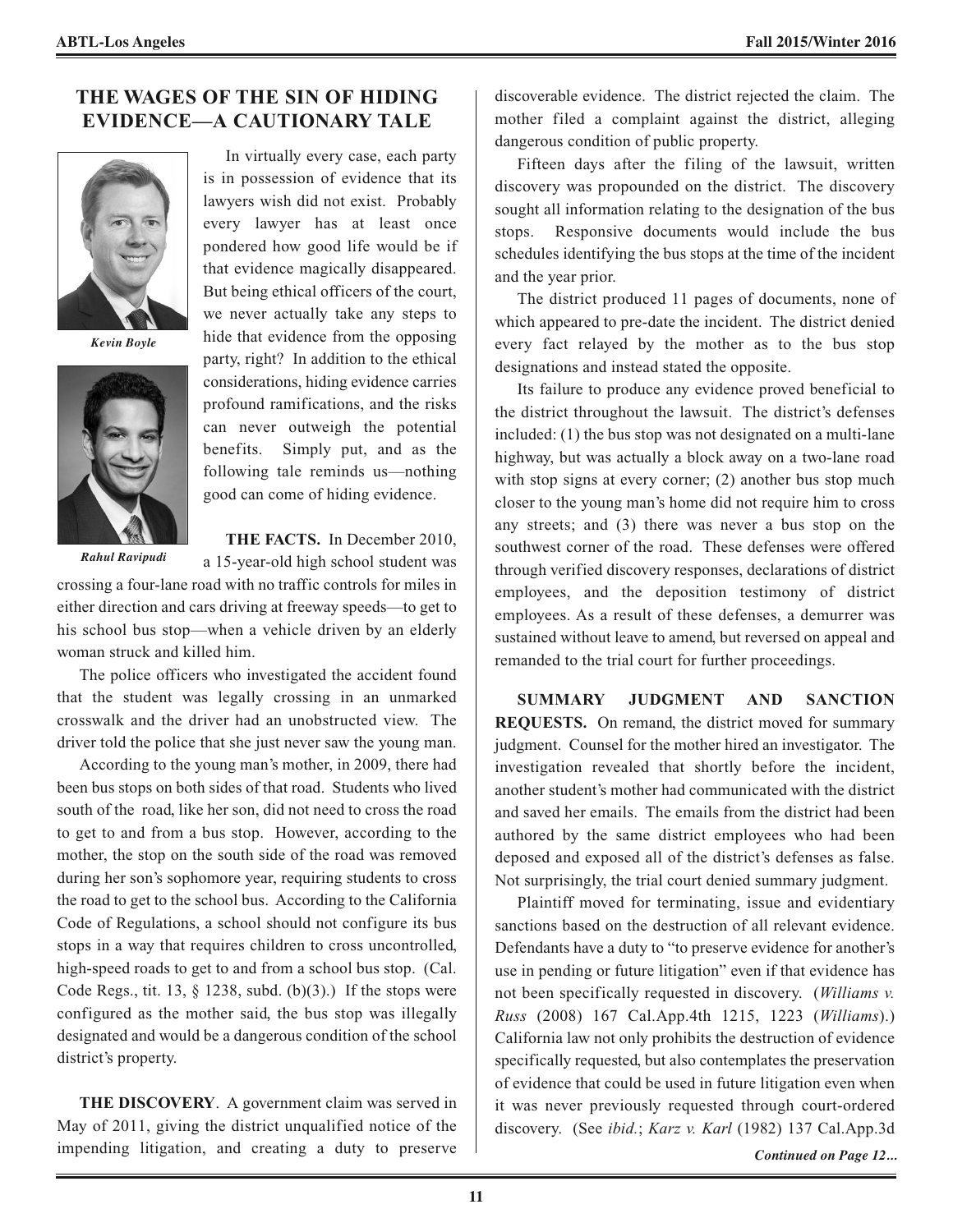#### **THE WAGES OF THE SIN OF HIDING EVIDENCE—A CAUTIONARY TALE**



*Kevin Boyle*



*Rahul Ravipudi*

In virtually every case, each party is in possession of evidence that its lawyers wish did not exist. Probably every lawyer has at least once pondered how good life would be if that evidence magically disappeared. But being ethical officers of the court, we never actually take any steps to hide that evidence from the opposing party, right? In addition to the ethical considerations, hiding evidence carries profound ramifications, and the risks can never outweigh the potential benefits. Simply put, and as the following tale reminds us—nothing good can come of hiding evidence.

**THE FACTS.** In December 2010,

a 15-year-old high school student was

crossing a four-lane road with no traffic controls for miles in either direction and cars driving at freeway speeds—to get to his school bus stop—when a vehicle driven by an elderly woman struck and killed him.

The police officers who investigated the accident found that the student was legally crossing in an unmarked crosswalk and the driver had an unobstructed view. The driver told the police that she just never saw the young man.

According to the young man's mother, in 2009, there had been bus stops on both sides of that road. Students who lived south of the road, like her son, did not need to cross the road to get to and from a bus stop. However, according to the mother, the stop on the south side of the road was removed during her son's sophomore year, requiring students to cross the road to get to the school bus. According to the California Code of Regulations, a school should not configure its bus stops in a way that requires children to cross uncontrolled, high-speed roads to get to and from a school bus stop. (Cal. Code Regs., tit. 13,  $\S$  1238, subd. (b)(3).) If the stops were configured as the mother said, the bus stop was illegally designated and would be a dangerous condition of the school district's property.

**THE DISCOVERY**. A government claim was served in May of 2011, giving the district unqualified notice of the impending litigation, and creating a duty to preserve

discoverable evidence. The district rejected the claim. The mother filed a complaint against the district, alleging dangerous condition of public property.

Fifteen days after the filing of the lawsuit, written discovery was propounded on the district. The discovery sought all information relating to the designation of the bus stops. Responsive documents would include the bus schedules identifying the bus stops at the time of the incident and the year prior.

The district produced 11 pages of documents, none of which appeared to pre-date the incident. The district denied every fact relayed by the mother as to the bus stop designations and instead stated the opposite.

Its failure to produce any evidence proved beneficial to the district throughout the lawsuit. The district's defenses included: (1) the bus stop was not designated on a multi-lane highway, but was actually a block away on a two-lane road with stop signs at every corner; (2) another bus stop much closer to the young man's home did not require him to cross any streets; and (3) there was never a bus stop on the southwest corner of the road. These defenses were offered through verified discovery responses, declarations of district employees, and the deposition testimony of district employees. As a result of these defenses, a demurrer was sustained without leave to amend, but reversed on appeal and remanded to the trial court for further proceedings.

**SUMMARY JUDGMENT AND SANCTION REQUESTS.** On remand, the district moved for summary judgment. Counsel for the mother hired an investigator. The investigation revealed that shortly before the incident, another student's mother had communicated with the district and saved her emails. The emails from the district had been authored by the same district employees who had been deposed and exposed all of the district's defenses as false. Not surprisingly, the trial court denied summary judgment.

Plaintiff moved for terminating, issue and evidentiary sanctions based on the destruction of all relevant evidence. Defendants have a duty to "to preserve evidence for another's use in pending or future litigation" even if that evidence has not been specifically requested in discovery. (*Williams v. Russ* (2008) 167 Cal.App.4th 1215, 1223 (*Williams*).) California law not only prohibits the destruction of evidence specifically requested, but also contemplates the preservation of evidence that could be used in future litigation even when it was never previously requested through court-ordered discovery. (See *ibid.*; *Karz v. Karl* (1982) 137 Cal.App.3d

*Continued on Page 12...*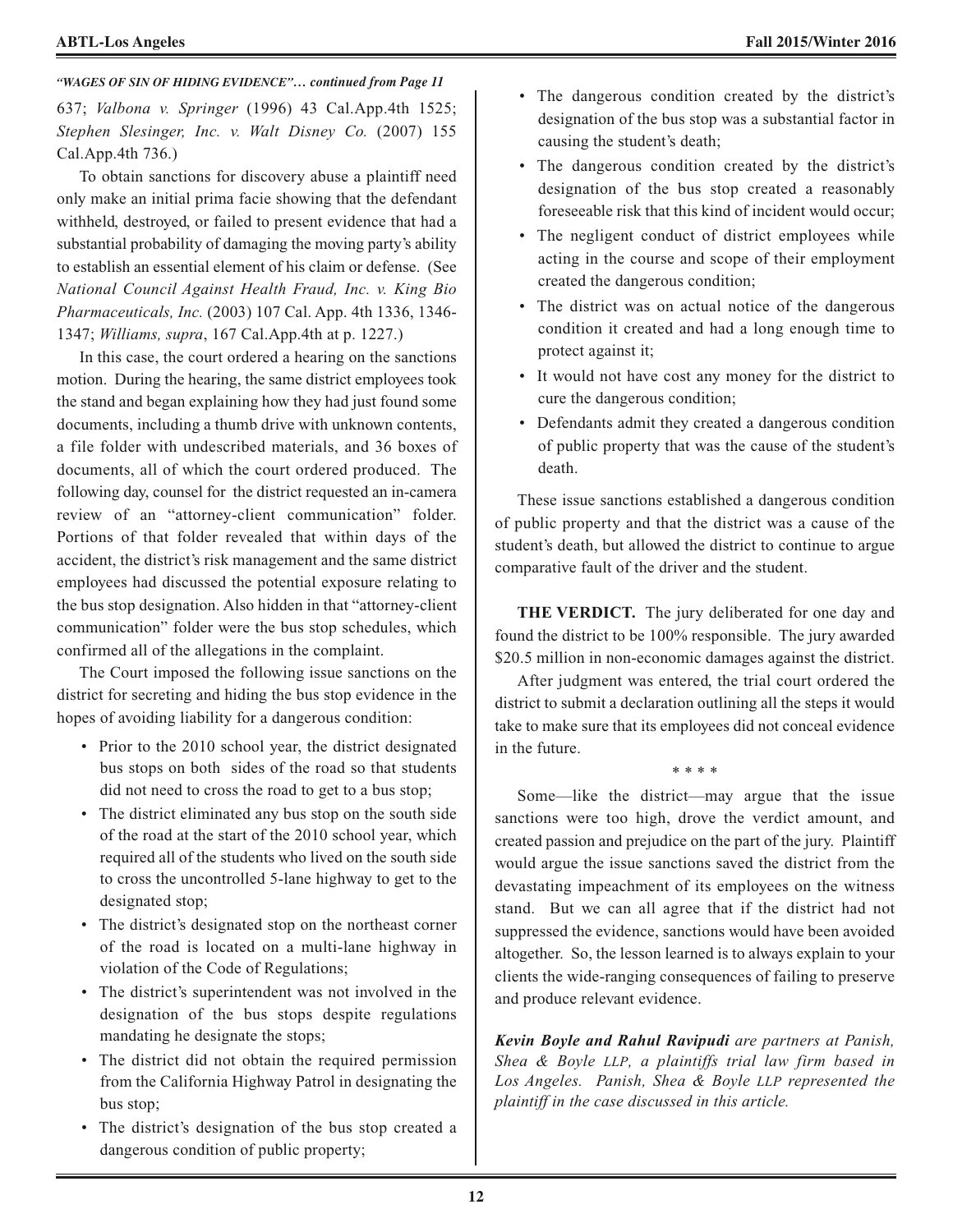#### 637; *Valbona v. Springer* (1996) 43 Cal.App.4th 1525; *Stephen Slesinger, Inc. v. Walt Disney Co.* (2007) 155 Cal.App.4th 736.) *"WAGES OF SIN OF HIDING EVIDENCE"… continued from Page 11*

To obtain sanctions for discovery abuse a plaintiff need only make an initial prima facie showing that the defendant withheld, destroyed, or failed to present evidence that had a substantial probability of damaging the moving party's ability to establish an essential element of his claim or defense. (See *National Council Against Health Fraud, Inc. v. King Bio Pharmaceuticals, Inc.* (2003) 107 Cal. App. 4th 1336, 1346- 1347; *Williams, supra*, 167 Cal.App.4th at p. 1227.)

In this case, the court ordered a hearing on the sanctions motion. During the hearing, the same district employees took the stand and began explaining how they had just found some documents, including a thumb drive with unknown contents, a file folder with undescribed materials, and 36 boxes of documents, all of which the court ordered produced. The following day, counsel for the district requested an in-camera review of an "attorney-client communication" folder. Portions of that folder revealed that within days of the accident, the district's risk management and the same district employees had discussed the potential exposure relating to the bus stop designation. Also hidden in that "attorney-client communication" folder were the bus stop schedules, which confirmed all of the allegations in the complaint.

The Court imposed the following issue sanctions on the district for secreting and hiding the bus stop evidence in the hopes of avoiding liability for a dangerous condition:

- Prior to the 2010 school year, the district designated bus stops on both sides of the road so that students did not need to cross the road to get to a bus stop;
- The district eliminated any bus stop on the south side of the road at the start of the 2010 school year, which required all of the students who lived on the south side to cross the uncontrolled 5-lane highway to get to the designated stop;
- The district's designated stop on the northeast corner of the road is located on a multi-lane highway in violation of the Code of Regulations;
- The district's superintendent was not involved in the designation of the bus stops despite regulations mandating he designate the stops;
- The district did not obtain the required permission from the California Highway Patrol in designating the bus stop;
- The district's designation of the bus stop created a dangerous condition of public property;
- The dangerous condition created by the district's designation of the bus stop was a substantial factor in causing the student's death;
- The dangerous condition created by the district's designation of the bus stop created a reasonably foreseeable risk that this kind of incident would occur;
- The negligent conduct of district employees while acting in the course and scope of their employment created the dangerous condition;
- The district was on actual notice of the dangerous condition it created and had a long enough time to protect against it;
- It would not have cost any money for the district to cure the dangerous condition;
- Defendants admit they created a dangerous condition of public property that was the cause of the student's death.

These issue sanctions established a dangerous condition of public property and that the district was a cause of the student's death, but allowed the district to continue to argue comparative fault of the driver and the student.

**THE VERDICT.** The jury deliberated for one day and found the district to be 100% responsible. The jury awarded \$20.5 million in non-economic damages against the district.

After judgment was entered, the trial court ordered the district to submit a declaration outlining all the steps it would take to make sure that its employees did not conceal evidence in the future.

\* \* \* \*

Some—like the district—may argue that the issue sanctions were too high, drove the verdict amount, and created passion and prejudice on the part of the jury. Plaintiff would argue the issue sanctions saved the district from the devastating impeachment of its employees on the witness stand. But we can all agree that if the district had not suppressed the evidence, sanctions would have been avoided altogether. So, the lesson learned is to always explain to your clients the wide-ranging consequences of failing to preserve and produce relevant evidence.

*Kevin Boyle and Rahul Ravipudi are partners at Panish, Shea & Boyle LLP, a plaintiffs trial law firm based in Los Angeles. Panish, Shea & Boyle LLP represented the plaintiff in the case discussed in this article.*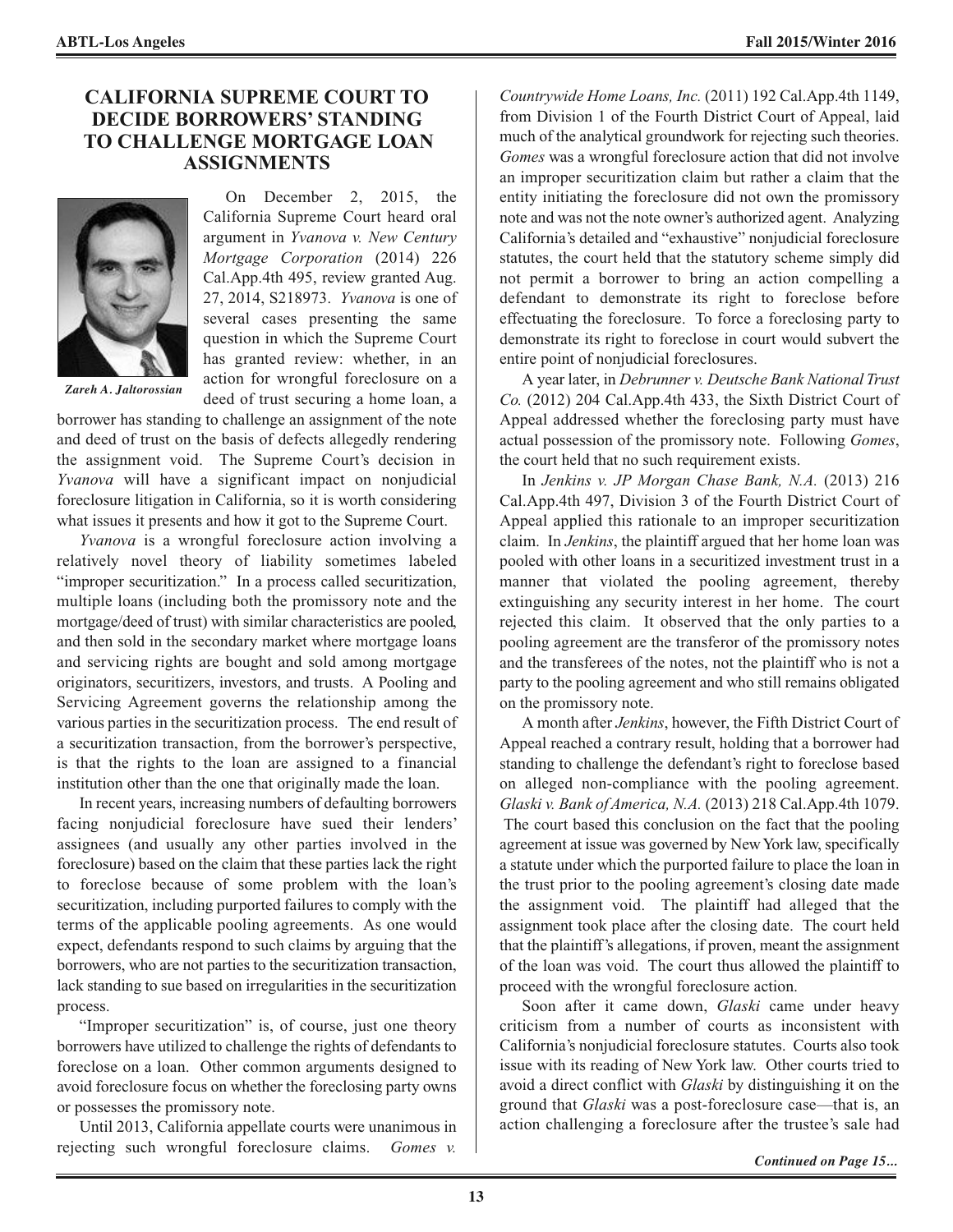#### **CALIFORNIA SUPREME COURT TO DECIDE BORROWERS' STANDING TO CHALLENGE MORTGAGE LOAN ASSIGNMENTS**



On December 2, 2015, the California Supreme Court heard oral argument in *Yvanova v. New Century Mortgage Corporation* (2014) 226 Cal.App.4th 495, review granted Aug. 27, 2014, S218973. *Yvanova* is one of several cases presenting the same question in which the Supreme Court has granted review: whether, in an action for wrongful foreclosure on a deed of trust securing a home loan, a

*Zareh A. Jaltorossian*

borrower has standing to challenge an assignment of the note and deed of trust on the basis of defects allegedly rendering the assignment void. The Supreme Court's decision in *Yvanova* will have a significant impact on nonjudicial foreclosure litigation in California, so it is worth considering what issues it presents and how it got to the Supreme Court.

*Yvanova* is a wrongful foreclosure action involving a relatively novel theory of liability sometimes labeled "improper securitization." In a process called securitization, multiple loans (including both the promissory note and the mortgage/deed of trust) with similar characteristics are pooled, and then sold in the secondary market where mortgage loans and servicing rights are bought and sold among mortgage originators, securitizers, investors, and trusts. A Pooling and Servicing Agreement governs the relationship among the various parties in the securitization process. The end result of a securitization transaction, from the borrower's perspective, is that the rights to the loan are assigned to a financial institution other than the one that originally made the loan.

In recent years, increasing numbers of defaulting borrowers facing nonjudicial foreclosure have sued their lenders' assignees (and usually any other parties involved in the foreclosure) based on the claim that these parties lack the right to foreclose because of some problem with the loan's securitization, including purported failures to comply with the terms of the applicable pooling agreements. As one would expect, defendants respond to such claims by arguing that the borrowers, who are not parties to the securitization transaction, lack standing to sue based on irregularities in the securitization process.

"Improper securitization" is, of course, just one theory borrowers have utilized to challenge the rights of defendants to foreclose on a loan. Other common arguments designed to avoid foreclosure focus on whether the foreclosing party owns or possesses the promissory note.

Until 2013, California appellate courts were unanimous in rejecting such wrongful foreclosure claims. *Gomes v.*

*Countrywide Home Loans, Inc.* (2011) 192 Cal.App.4th 1149, from Division 1 of the Fourth District Court of Appeal, laid much of the analytical groundwork for rejecting such theories. *Gomes* was a wrongful foreclosure action that did not involve an improper securitization claim but rather a claim that the entity initiating the foreclosure did not own the promissory note and was not the note owner's authorized agent. Analyzing California's detailed and "exhaustive" nonjudicial foreclosure statutes, the court held that the statutory scheme simply did not permit a borrower to bring an action compelling a defendant to demonstrate its right to foreclose before effectuating the foreclosure. To force a foreclosing party to demonstrate its right to foreclose in court would subvert the entire point of nonjudicial foreclosures.

A year later, in *Debrunner v. Deutsche Bank National Trust Co.* (2012) 204 Cal.App.4th 433, the Sixth District Court of Appeal addressed whether the foreclosing party must have actual possession of the promissory note. Following *Gomes*, the court held that no such requirement exists.

In *Jenkins v. JP Morgan Chase Bank, N.A.* (2013) 216 Cal.App.4th 497, Division 3 of the Fourth District Court of Appeal applied this rationale to an improper securitization claim. In *Jenkins*, the plaintiff argued that her home loan was pooled with other loans in a securitized investment trust in a manner that violated the pooling agreement, thereby extinguishing any security interest in her home. The court rejected this claim. It observed that the only parties to a pooling agreement are the transferor of the promissory notes and the transferees of the notes, not the plaintiff who is not a party to the pooling agreement and who still remains obligated on the promissory note.

A month after *Jenkins*, however, the Fifth District Court of Appeal reached a contrary result, holding that a borrower had standing to challenge the defendant's right to foreclose based on alleged non-compliance with the pooling agreement. *Glaski v. Bank ofAmerica, N.A.* (2013) 218 Cal.App.4th 1079. The court based this conclusion on the fact that the pooling agreement at issue was governed by NewYork law, specifically a statute under which the purported failure to place the loan in the trust prior to the pooling agreement's closing date made the assignment void. The plaintiff had alleged that the assignment took place after the closing date. The court held that the plaintiff's allegations, if proven, meant the assignment of the loan was void. The court thus allowed the plaintiff to proceed with the wrongful foreclosure action.

Soon after it came down, *Glaski* came under heavy criticism from a number of courts as inconsistent with California's nonjudicial foreclosure statutes. Courts also took issue with its reading of New York law. Other courts tried to avoid a direct conflict with *Glaski* by distinguishing it on the ground that *Glaski* was a post-foreclosure case—that is, an action challenging a foreclosure after the trustee's sale had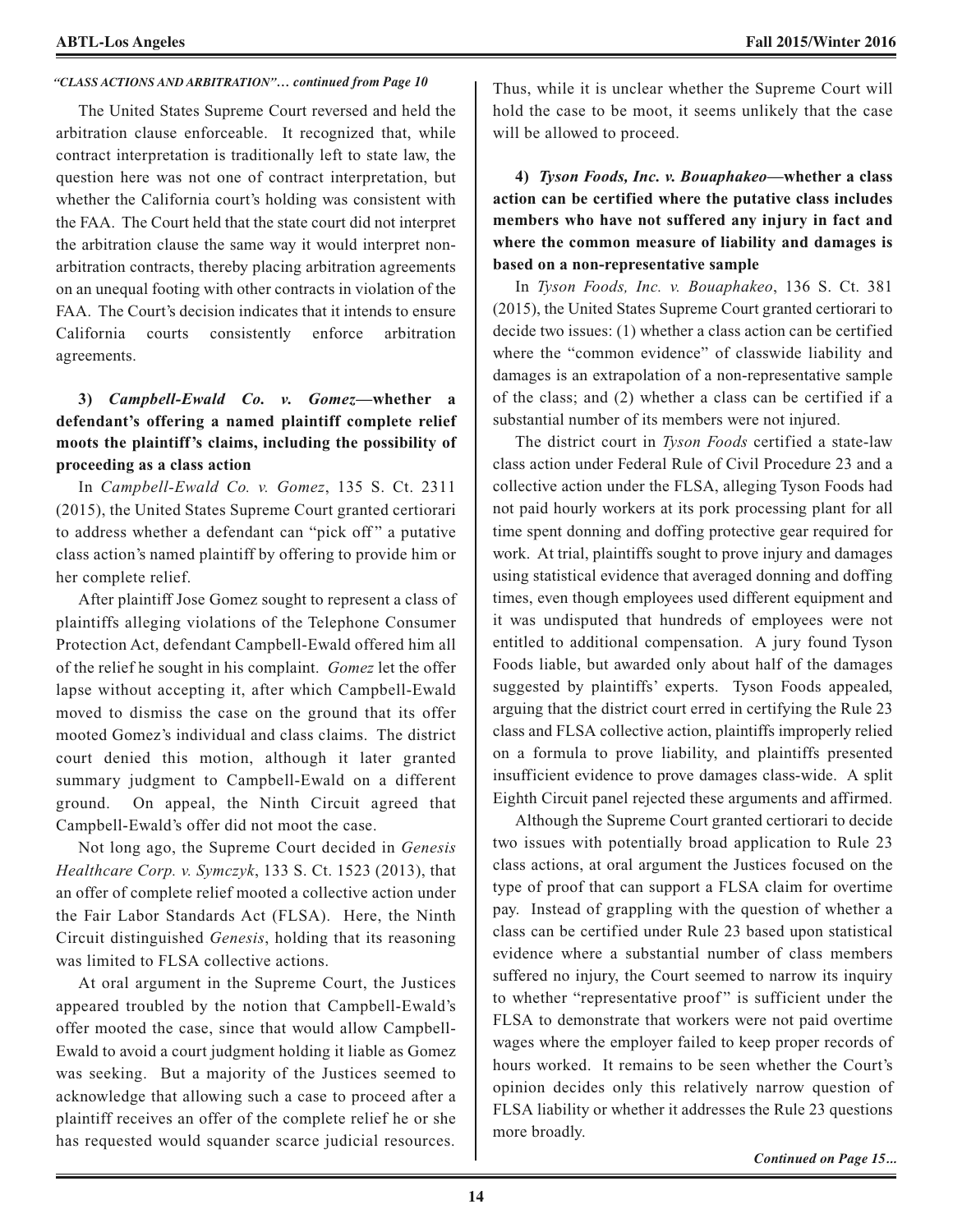#### *"CLASS ACTIONS AND ARBITRATION"… continued from Page 10*

The United States Supreme Court reversed and held the arbitration clause enforceable. It recognized that, while contract interpretation is traditionally left to state law, the question here was not one of contract interpretation, but whether the California court's holding was consistent with the FAA. The Court held that the state court did not interpret the arbitration clause the same way it would interpret nonarbitration contracts, thereby placing arbitration agreements on an unequal footing with other contracts in violation of the FAA. The Court's decision indicates that it intends to ensure California courts consistently enforce arbitration agreements.

#### **3)** *Campbell-Ewald Co. v. Gomez***—whether a defendant's offering a named plaintiff complete relief moots the plaintiff's claims, including the possibility of proceeding as a class action**

In *Campbell-Ewald Co. v. Gomez*, 135 S. Ct. 2311 (2015), the United States Supreme Court granted certiorari to address whether a defendant can "pick off" a putative class action's named plaintiff by offering to provide him or her complete relief.

After plaintiff Jose Gomez sought to represent a class of plaintiffs alleging violations of the Telephone Consumer Protection Act, defendant Campbell-Ewald offered him all of the relief he sought in his complaint. *Gomez* let the offer lapse without accepting it, after which Campbell-Ewald moved to dismiss the case on the ground that its offer mooted Gomez's individual and class claims. The district court denied this motion, although it later granted summary judgment to Campbell-Ewald on a different ground. On appeal, the Ninth Circuit agreed that Campbell-Ewald's offer did not moot the case.

Not long ago, the Supreme Court decided in *Genesis Healthcare Corp. v. Symczyk*, 133 S. Ct. 1523 (2013), that an offer of complete relief mooted a collective action under the Fair Labor Standards Act (FLSA). Here, the Ninth Circuit distinguished *Genesis*, holding that its reasoning was limited to FLSA collective actions.

At oral argument in the Supreme Court, the Justices appeared troubled by the notion that Campbell-Ewald's offer mooted the case, since that would allow Campbell-Ewald to avoid a court judgment holding it liable as Gomez was seeking. But a majority of the Justices seemed to acknowledge that allowing such a case to proceed after a plaintiff receives an offer of the complete relief he or she has requested would squander scarce judicial resources. Thus, while it is unclear whether the Supreme Court will hold the case to be moot, it seems unlikely that the case will be allowed to proceed.

**4)** *Tyson Foods, Inc. v. Bouaphakeo***—whether a class action can be certified where the putative class includes members who have not suffered any injury in fact and where the common measure of liability and damages is based on a non-representative sample**

In *Tyson Foods, Inc. v. Bouaphakeo*, 136 S. Ct. 381 (2015), the United States Supreme Court granted certiorari to decide two issues: (1) whether a class action can be certified where the "common evidence" of classwide liability and damages is an extrapolation of a non-representative sample of the class; and (2) whether a class can be certified if a substantial number of its members were not injured.

The district court in *Tyson Foods* certified a state-law class action under Federal Rule of Civil Procedure 23 and a collective action under the FLSA, alleging Tyson Foods had not paid hourly workers at its pork processing plant for all time spent donning and doffing protective gear required for work. At trial, plaintiffs sought to prove injury and damages using statistical evidence that averaged donning and doffing times, even though employees used different equipment and it was undisputed that hundreds of employees were not entitled to additional compensation. A jury found Tyson Foods liable, but awarded only about half of the damages suggested by plaintiffs' experts. Tyson Foods appealed, arguing that the district court erred in certifying the Rule 23 class and FLSA collective action, plaintiffs improperly relied on a formula to prove liability, and plaintiffs presented insufficient evidence to prove damages class-wide. A split Eighth Circuit panel rejected these arguments and affirmed.

Although the Supreme Court granted certiorari to decide two issues with potentially broad application to Rule 23 class actions, at oral argument the Justices focused on the type of proof that can support a FLSA claim for overtime pay. Instead of grappling with the question of whether a class can be certified under Rule 23 based upon statistical evidence where a substantial number of class members suffered no injury, the Court seemed to narrow its inquiry to whether "representative proof " is sufficient under the FLSA to demonstrate that workers were not paid overtime wages where the employer failed to keep proper records of hours worked. It remains to be seen whether the Court's opinion decides only this relatively narrow question of FLSA liability or whether it addresses the Rule 23 questions more broadly.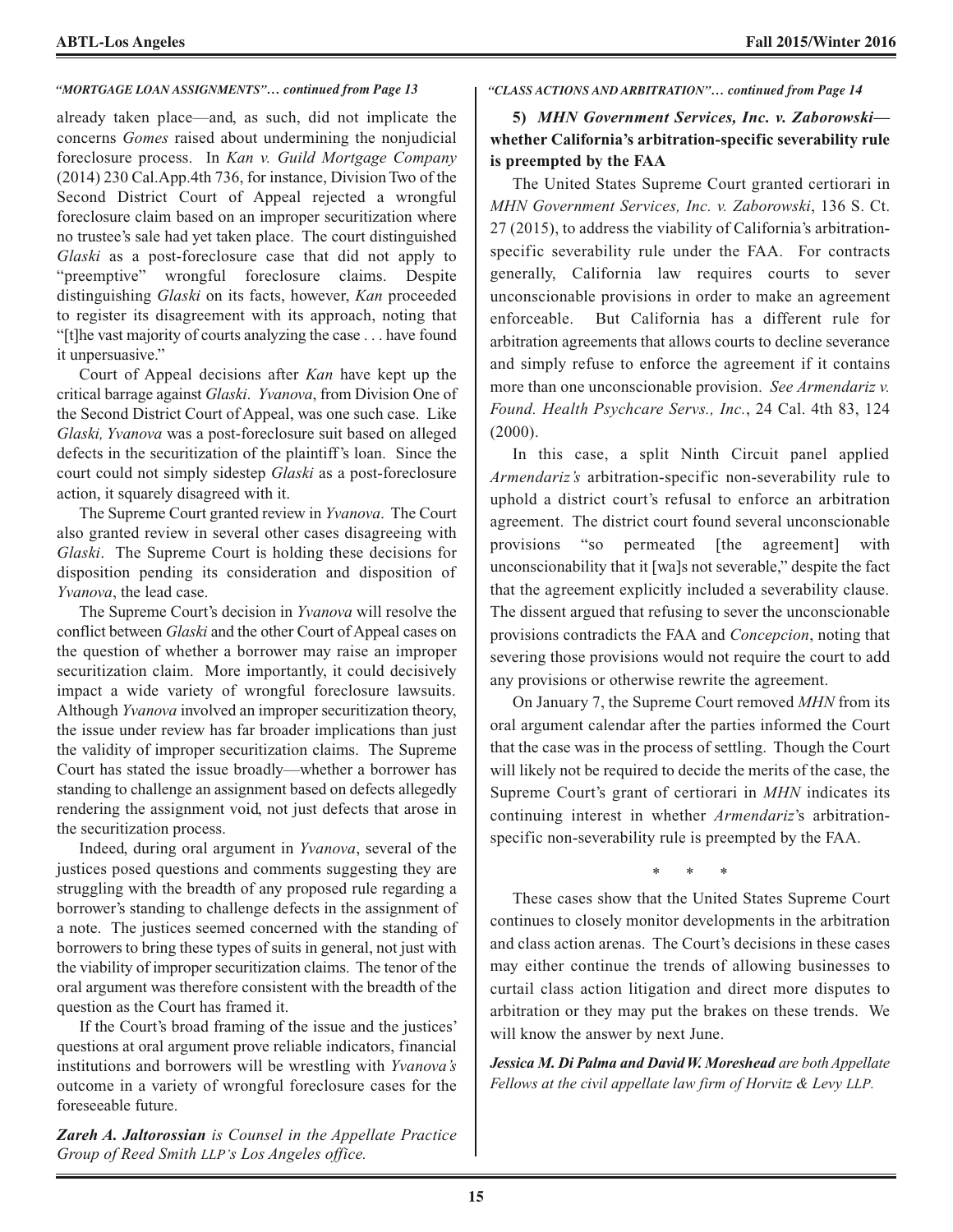#### *"MORTGAGE LOAN ASSIGNMENTS"… continued from Page 13 "CLASS ACTIONS AND ARBITRATION"… continued from Page 14*

already taken place—and, as such, did not implicate the concerns *Gomes* raised about undermining the nonjudicial foreclosure process. In *Kan v. Guild Mortgage Company* (2014) 230 Cal.App.4th 736, for instance, Division Two of the Second District Court of Appeal rejected a wrongful foreclosure claim based on an improper securitization where no trustee's sale had yet taken place. The court distinguished *Glaski* as a post-foreclosure case that did not apply to "preemptive" wrongful foreclosure claims. Despite distinguishing *Glaski* on its facts, however, *Kan* proceeded to register its disagreement with its approach, noting that "[t]he vast majority of courts analyzing the case . . . have found it unpersuasive."

Court of Appeal decisions after *Kan* have kept up the critical barrage against *Glaski*. *Yvanova*, from Division One of the Second District Court of Appeal, was one such case. Like *Glaski, Yvanova* was a post-foreclosure suit based on alleged defects in the securitization of the plaintiff's loan. Since the court could not simply sidestep *Glaski* as a post-foreclosure action, it squarely disagreed with it.

The Supreme Court granted review in *Yvanova*. The Court also granted review in several other cases disagreeing with *Glaski*. The Supreme Court is holding these decisions for disposition pending its consideration and disposition of *Yvanova*, the lead case.

The Supreme Court's decision in *Yvanova* will resolve the conflict between *Glaski* and the other Court of Appeal cases on the question of whether a borrower may raise an improper securitization claim. More importantly, it could decisively impact a wide variety of wrongful foreclosure lawsuits. Although *Yvanova* involved an improper securitization theory, the issue under review has far broader implications than just the validity of improper securitization claims. The Supreme Court has stated the issue broadly—whether a borrower has standing to challenge an assignment based on defects allegedly rendering the assignment void, not just defects that arose in the securitization process.

Indeed, during oral argument in *Yvanova*, several of the justices posed questions and comments suggesting they are struggling with the breadth of any proposed rule regarding a borrower's standing to challenge defects in the assignment of a note. The justices seemed concerned with the standing of borrowers to bring these types of suits in general, not just with the viability of improper securitization claims. The tenor of the oral argument was therefore consistent with the breadth of the question as the Court has framed it.

If the Court's broad framing of the issue and the justices' questions at oral argument prove reliable indicators, financial institutions and borrowers will be wrestling with *Yvanova's* outcome in a variety of wrongful foreclosure cases for the foreseeable future.

*Zareh A. Jaltorossian is Counsel in the Appellate Practice Group of Reed Smith LLP's Los Angeles office.*

**5)** *MHN Government Services, Inc. v. Zaborowski* **whether California's arbitration-specific severability rule is preempted by the FAA**

The United States Supreme Court granted certiorari in *MHN Government Services, Inc. v. Zaborowski*, 136 S. Ct. 27 (2015), to address the viability of California's arbitrationspecific severability rule under the FAA. For contracts generally, California law requires courts to sever unconscionable provisions in order to make an agreement enforceable. But California has a different rule for arbitration agreements that allows courts to decline severance and simply refuse to enforce the agreement if it contains more than one unconscionable provision. *See Armendariz v. Found. Health Psychcare Servs., Inc.*, 24 Cal. 4th 83, 124 (2000).

In this case, a split Ninth Circuit panel applied *Armendariz's* arbitration-specific non-severability rule to uphold a district court's refusal to enforce an arbitration agreement. The district court found several unconscionable provisions "so permeated [the agreement] with unconscionability that it [wa]s not severable," despite the fact that the agreement explicitly included a severability clause. The dissent argued that refusing to sever the unconscionable provisions contradicts the FAA and *Concepcion*, noting that severing those provisions would not require the court to add any provisions or otherwise rewrite the agreement.

On January 7, the Supreme Court removed *MHN* from its oral argument calendar after the parties informed the Court that the case was in the process of settling. Though the Court will likely not be required to decide the merits of the case, the Supreme Court's grant of certiorari in *MHN* indicates its continuing interest in whether *Armendariz*'s arbitrationspecific non-severability rule is preempted by the FAA.

\* \* \*

These cases show that the United States Supreme Court continues to closely monitor developments in the arbitration and class action arenas. The Court's decisions in these cases may either continue the trends of allowing businesses to curtail class action litigation and direct more disputes to arbitration or they may put the brakes on these trends. We will know the answer by next June.

*Jessica M. Di Palma and DavidW. Moreshead are bothAppellate Fellows at the civil appellate law firm of Horvitz & Levy LLP.*